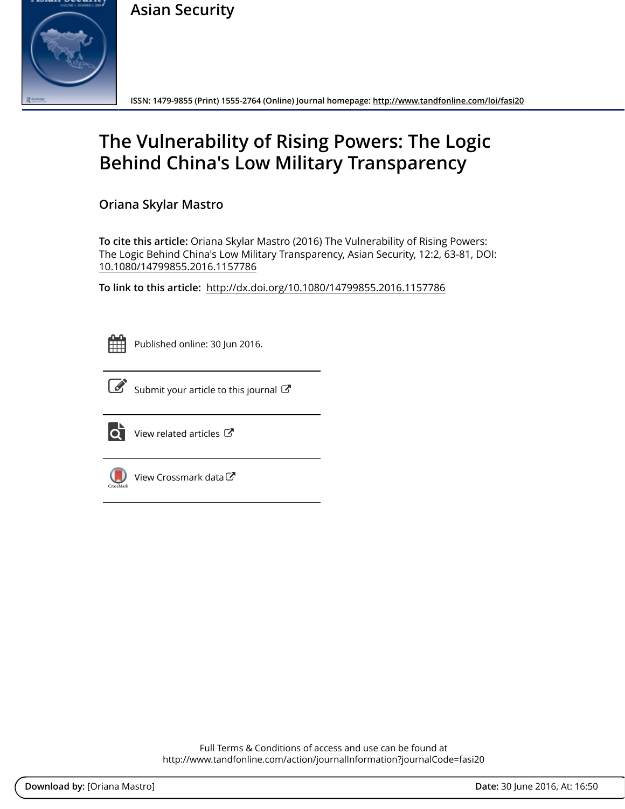Asian Security



ISSN: 1479-9855 (Print) 1555-2764 (Online) Journal homepage: http://www.tandfonline.com/loi/fasi20

# The Vulnerability of Rising Powers: The Logic Behind China's Low Military Transparency

Oriana Skylar Mastro

To cite this article: Oriana Skylar Mastro (2016) The Vulnerability of Rising Powers: The Logic Behind China's Low Military Transparency, Asian Security, 12:2, 63-81, DOI: 10.1080/14799855.2016.1157786

To link to this article: http://dx.doi.org/10.1080/14799855.2016.1157786



Published online: 30 Jun 2016.



 $\overline{\mathscr{L}}$  Submit your article to this journal  $\mathbb{F}$ 



 $\overline{O}$  View related articles  $\mathbb{Z}$ 



 $\bigcirc$  View Crossmark data  $\mathbb{Z}$ 

Full Terms & Conditions of access and use can be found at http://www.tandfonline.com/action/journalInformation?journalCode=fasi20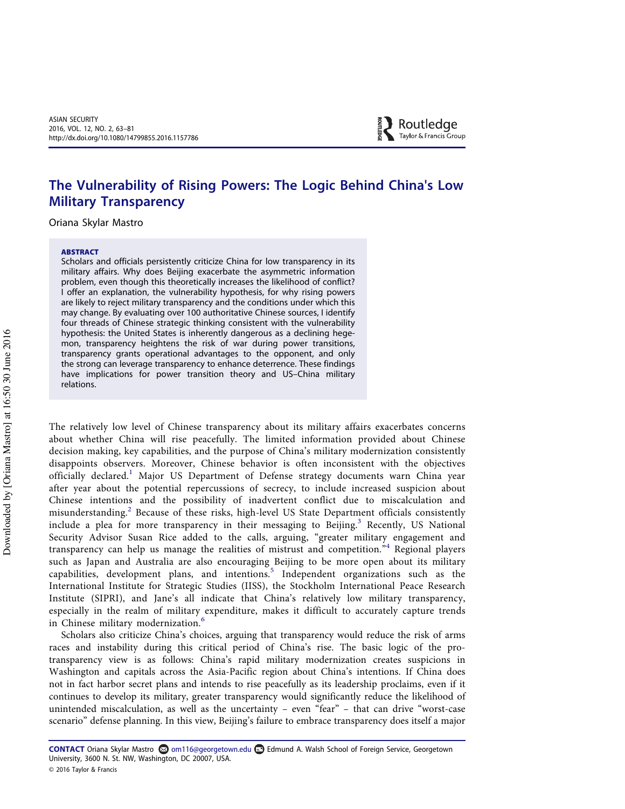## The Vulnerability of Rising Powers: The Logic Behind China's Low Military Transparency

Oriana Skylar Mastro

## **ABSTRACT**

Scholars and officials persistently criticize China for low transparency in its military affairs. Why does Beijing exacerbate the asymmetric information problem, even though this theoretically increases the likelihood of conflict? I offer an explanation, the vulnerability hypothesis, for why rising powers are likely to reject military transparency and the conditions under which this may change. By evaluating over 100 authoritative Chinese sources, I identify four threads of Chinese strategic thinking consistent with the vulnerability hypothesis: the United States is inherently dangerous as a declining hegemon, transparency heightens the risk of war during power transitions, transparency grants operational advantages to the opponent, and only the strong can leverage transparency to enhance deterrence. These findings have implications for power transition theory and US–China military relations.

The relatively low level of Chinese transparency about its military affairs exacerbates concerns about whether China will rise peacefully. The limited information provided about Chinese decision making, key capabilities, and the purpose of China's military modernization consistently disappoints observers. Moreover, Chinese behavior is often inconsistent with the objectives officially declared.<sup>1</sup> Major US Department of Defense strategy documents warn China year after year about the potential repercussions of secrecy, to include increased suspicion about Chinese intentions and the possibility of inadvertent conflict due to miscalculation and misunderstanding.<sup>2</sup> Because of these risks, high-level US State Department officials consistently include a plea for more transparency in their messaging to Beijing.<sup>3</sup> Recently, US National Security Advisor Susan Rice added to the calls, arguing, "greater military engagement and transparency can help us manage the realities of mistrust and competition." <sup>4</sup> Regional players such as Japan and Australia are also encouraging Beijing to be more open about its military capabilities, development plans, and intentions.<sup>5</sup> Independent organizations such as the International Institute for Strategic Studies (IISS), the Stockholm International Peace Research Institute (SIPRI), and Jane's all indicate that China's relatively low military transparency, especially in the realm of military expenditure, makes it difficult to accurately capture trends in Chinese military modernization.<sup>6</sup>

Scholars also criticize China's choices, arguing that transparency would reduce the risk of arms races and instability during this critical period of China's rise. The basic logic of the protransparency view is as follows: China's rapid military modernization creates suspicions in Washington and capitals across the Asia-Pacific region about China's intentions. If China does not in fact harbor secret plans and intends to rise peacefully as its leadership proclaims, even if it continues to develop its military, greater transparency would significantly reduce the likelihood of unintended miscalculation, as well as the uncertainty – even "fear" – that can drive "worst-case scenario" defense planning. In this view, Beijing's failure to embrace transparency does itself a major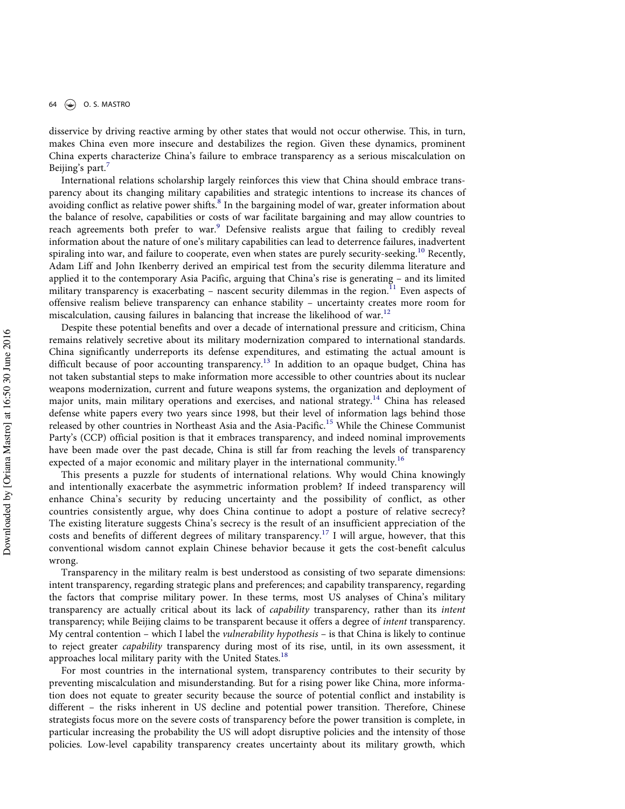### 64  $\left(\bigcirc\right)$  O. S. MASTRO

disservice by driving reactive arming by other states that would not occur otherwise. This, in turn, makes China even more insecure and destabilizes the region. Given these dynamics, prominent China experts characterize China's failure to embrace transparency as a serious miscalculation on Beijing's part.<sup>7</sup>

International relations scholarship largely reinforces this view that China should embrace transparency about its changing military capabilities and strategic intentions to increase its chances of avoiding conflict as relative power shifts.<sup>8</sup> In the bargaining model of war, greater information about the balance of resolve, capabilities or costs of war facilitate bargaining and may allow countries to reach agreements both prefer to war.<sup>9</sup> Defensive realists argue that failing to credibly reveal information about the nature of one's military capabilities can lead to deterrence failures, inadvertent spiraling into war, and failure to cooperate, even when states are purely security-seeking.<sup>10</sup> Recently, Adam Liff and John Ikenberry derived an empirical test from the security dilemma literature and applied it to the contemporary Asia Pacific, arguing that China's rise is generating – and its limited military transparency is exacerbating - nascent security dilemmas in the region.<sup>11</sup> Even aspects of offensive realism believe transparency can enhance stability – uncertainty creates more room for miscalculation, causing failures in balancing that increase the likelihood of war.<sup>12</sup>

Despite these potential benefits and over a decade of international pressure and criticism, China remains relatively secretive about its military modernization compared to international standards. China significantly underreports its defense expenditures, and estimating the actual amount is difficult because of poor accounting transparency.<sup>13</sup> In addition to an opaque budget, China has not taken substantial steps to make information more accessible to other countries about its nuclear weapons modernization, current and future weapons systems, the organization and deployment of major units, main military operations and exercises, and national strategy.<sup>14</sup> China has released defense white papers every two years since 1998, but their level of information lags behind those released by other countries in Northeast Asia and the Asia-Pacific.<sup>15</sup> While the Chinese Communist Party's (CCP) official position is that it embraces transparency, and indeed nominal improvements have been made over the past decade, China is still far from reaching the levels of transparency expected of a major economic and military player in the international community.<sup>16</sup>

This presents a puzzle for students of international relations. Why would China knowingly and intentionally exacerbate the asymmetric information problem? If indeed transparency will enhance China's security by reducing uncertainty and the possibility of conflict, as other countries consistently argue, why does China continue to adopt a posture of relative secrecy? The existing literature suggests China's secrecy is the result of an insufficient appreciation of the costs and benefits of different degrees of military transparency.<sup>17</sup> I will argue, however, that this conventional wisdom cannot explain Chinese behavior because it gets the cost-benefit calculus wrong.

Transparency in the military realm is best understood as consisting of two separate dimensions: intent transparency, regarding strategic plans and preferences; and capability transparency, regarding the factors that comprise military power. In these terms, most US analyses of China's military transparency are actually critical about its lack of capability transparency, rather than its intent transparency; while Beijing claims to be transparent because it offers a degree of intent transparency. My central contention – which I label the vulnerability hypothesis – is that China is likely to continue to reject greater capability transparency during most of its rise, until, in its own assessment, it approaches local military parity with the United States.<sup>18</sup>

For most countries in the international system, transparency contributes to their security by preventing miscalculation and misunderstanding. But for a rising power like China, more information does not equate to greater security because the source of potential conflict and instability is different – the risks inherent in US decline and potential power transition. Therefore, Chinese strategists focus more on the severe costs of transparency before the power transition is complete, in particular increasing the probability the US will adopt disruptive policies and the intensity of those policies. Low-level capability transparency creates uncertainty about its military growth, which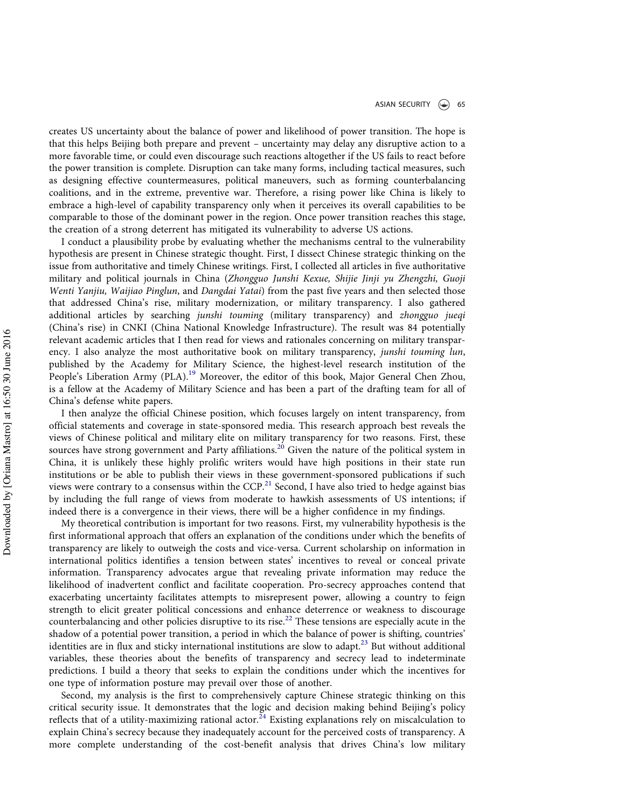creates US uncertainty about the balance of power and likelihood of power transition. The hope is that this helps Beijing both prepare and prevent – uncertainty may delay any disruptive action to a more favorable time, or could even discourage such reactions altogether if the US fails to react before the power transition is complete. Disruption can take many forms, including tactical measures, such as designing effective countermeasures, political maneuvers, such as forming counterbalancing coalitions, and in the extreme, preventive war. Therefore, a rising power like China is likely to embrace a high-level of capability transparency only when it perceives its overall capabilities to be comparable to those of the dominant power in the region. Once power transition reaches this stage, the creation of a strong deterrent has mitigated its vulnerability to adverse US actions.

I conduct a plausibility probe by evaluating whether the mechanisms central to the vulnerability hypothesis are present in Chinese strategic thought. First, I dissect Chinese strategic thinking on the issue from authoritative and timely Chinese writings. First, I collected all articles in five authoritative military and political journals in China (Zhongguo Junshi Kexue, Shijie Jinji yu Zhengzhi, Guoji Wenti Yanjiu, Waijiao Pinglun, and Dangdai Yatai) from the past five years and then selected those that addressed China's rise, military modernization, or military transparency. I also gathered additional articles by searching junshi touming (military transparency) and zhongguo jueqi (China's rise) in CNKI (China National Knowledge Infrastructure). The result was 84 potentially relevant academic articles that I then read for views and rationales concerning on military transparency. I also analyze the most authoritative book on military transparency, junshi touming lun, published by the Academy for Military Science, the highest-level research institution of the People's Liberation Army (PLA).<sup>19</sup> Moreover, the editor of this book, Major General Chen Zhou, is a fellow at the Academy of Military Science and has been a part of the drafting team for all of China's defense white papers.

I then analyze the official Chinese position, which focuses largely on intent transparency, from official statements and coverage in state-sponsored media. This research approach best reveals the views of Chinese political and military elite on military transparency for two reasons. First, these sources have strong government and Party affiliations.<sup>20</sup> Given the nature of the political system in China, it is unlikely these highly prolific writers would have high positions in their state run institutions or be able to publish their views in these government-sponsored publications if such views were contrary to a consensus within the CCP.<sup>21</sup> Second, I have also tried to hedge against bias by including the full range of views from moderate to hawkish assessments of US intentions; if indeed there is a convergence in their views, there will be a higher confidence in my findings.

My theoretical contribution is important for two reasons. First, my vulnerability hypothesis is the first informational approach that offers an explanation of the conditions under which the benefits of transparency are likely to outweigh the costs and vice-versa. Current scholarship on information in international politics identifies a tension between states' incentives to reveal or conceal private information. Transparency advocates argue that revealing private information may reduce the likelihood of inadvertent conflict and facilitate cooperation. Pro-secrecy approaches contend that exacerbating uncertainty facilitates attempts to misrepresent power, allowing a country to feign strength to elicit greater political concessions and enhance deterrence or weakness to discourage counterbalancing and other policies disruptive to its rise.<sup>22</sup> These tensions are especially acute in the shadow of a potential power transition, a period in which the balance of power is shifting, countries' identities are in flux and sticky international institutions are slow to adapt.<sup>23</sup> But without additional variables, these theories about the benefits of transparency and secrecy lead to indeterminate predictions. I build a theory that seeks to explain the conditions under which the incentives for one type of information posture may prevail over those of another.

Second, my analysis is the first to comprehensively capture Chinese strategic thinking on this critical security issue. It demonstrates that the logic and decision making behind Beijing's policy reflects that of a utility-maximizing rational actor.<sup>24</sup> Existing explanations rely on miscalculation to explain China's secrecy because they inadequately account for the perceived costs of transparency. A more complete understanding of the cost-benefit analysis that drives China's low military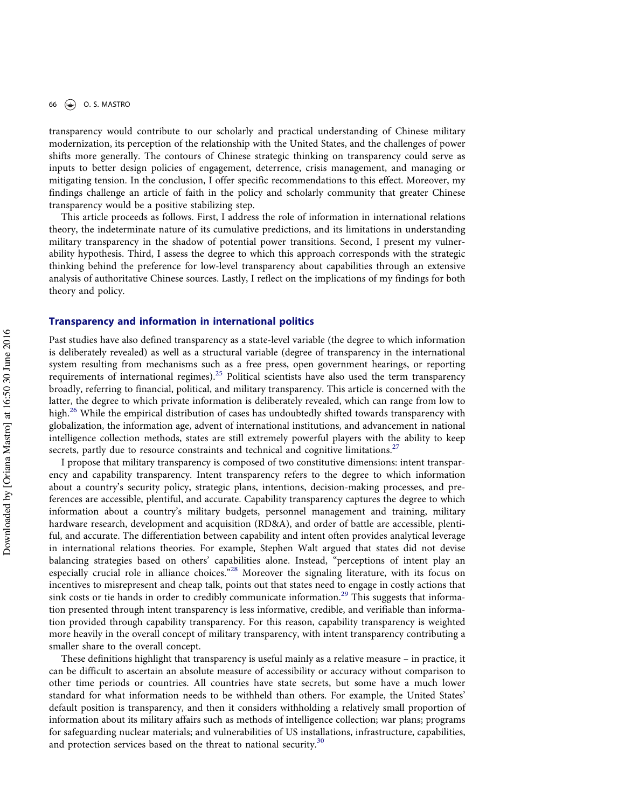transparency would contribute to our scholarly and practical understanding of Chinese military modernization, its perception of the relationship with the United States, and the challenges of power shifts more generally. The contours of Chinese strategic thinking on transparency could serve as inputs to better design policies of engagement, deterrence, crisis management, and managing or mitigating tension. In the conclusion, I offer specific recommendations to this effect. Moreover, my findings challenge an article of faith in the policy and scholarly community that greater Chinese transparency would be a positive stabilizing step.

This article proceeds as follows. First, I address the role of information in international relations theory, the indeterminate nature of its cumulative predictions, and its limitations in understanding military transparency in the shadow of potential power transitions. Second, I present my vulnerability hypothesis. Third, I assess the degree to which this approach corresponds with the strategic thinking behind the preference for low-level transparency about capabilities through an extensive analysis of authoritative Chinese sources. Lastly, I reflect on the implications of my findings for both theory and policy.

## Transparency and information in international politics

Past studies have also defined transparency as a state-level variable (the degree to which information is deliberately revealed) as well as a structural variable (degree of transparency in the international system resulting from mechanisms such as a free press, open government hearings, or reporting requirements of international regimes).<sup>25</sup> Political scientists have also used the term transparency broadly, referring to financial, political, and military transparency. This article is concerned with the latter, the degree to which private information is deliberately revealed, which can range from low to high.<sup>26</sup> While the empirical distribution of cases has undoubtedly shifted towards transparency with globalization, the information age, advent of international institutions, and advancement in national intelligence collection methods, states are still extremely powerful players with the ability to keep secrets, partly due to resource constraints and technical and cognitive limitations.<sup>27</sup>

I propose that military transparency is composed of two constitutive dimensions: intent transparency and capability transparency. Intent transparency refers to the degree to which information about a country's security policy, strategic plans, intentions, decision-making processes, and preferences are accessible, plentiful, and accurate. Capability transparency captures the degree to which information about a country's military budgets, personnel management and training, military hardware research, development and acquisition (RD&A), and order of battle are accessible, plentiful, and accurate. The differentiation between capability and intent often provides analytical leverage in international relations theories. For example, Stephen Walt argued that states did not devise balancing strategies based on others' capabilities alone. Instead, "perceptions of intent play an especially crucial role in alliance choices."<sup>28</sup> Moreover the signaling literature, with its focus on incentives to misrepresent and cheap talk, points out that states need to engage in costly actions that sink costs or tie hands in order to credibly communicate information.<sup>29</sup> This suggests that information presented through intent transparency is less informative, credible, and verifiable than information provided through capability transparency. For this reason, capability transparency is weighted more heavily in the overall concept of military transparency, with intent transparency contributing a smaller share to the overall concept.

These definitions highlight that transparency is useful mainly as a relative measure – in practice, it can be difficult to ascertain an absolute measure of accessibility or accuracy without comparison to other time periods or countries. All countries have state secrets, but some have a much lower standard for what information needs to be withheld than others. For example, the United States' default position is transparency, and then it considers withholding a relatively small proportion of information about its military affairs such as methods of intelligence collection; war plans; programs for safeguarding nuclear materials; and vulnerabilities of US installations, infrastructure, capabilities, and protection services based on the threat to national security.<sup>30</sup>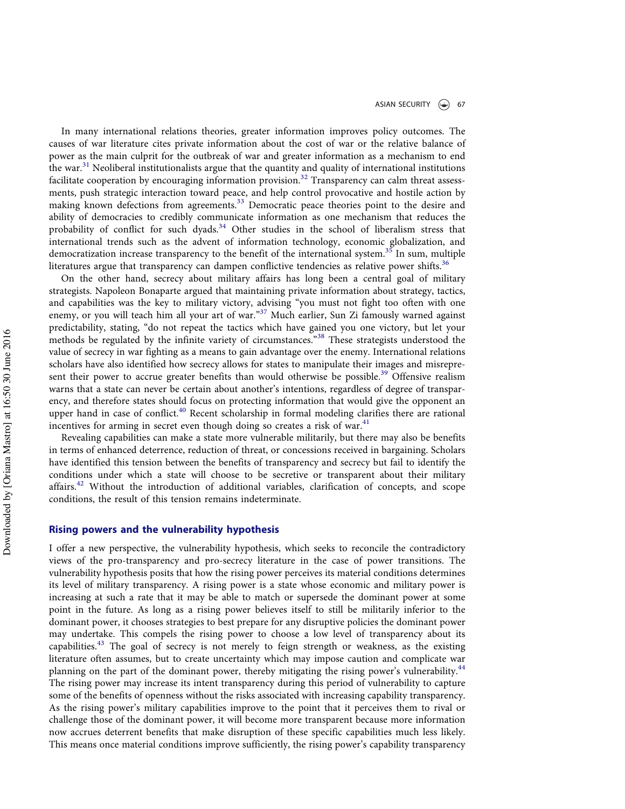In many international relations theories, greater information improves policy outcomes. The causes of war literature cites private information about the cost of war or the relative balance of power as the main culprit for the outbreak of war and greater information as a mechanism to end the war.<sup>31</sup> Neoliberal institutionalists argue that the quantity and quality of international institutions facilitate cooperation by encouraging information provision.<sup>32</sup> Transparency can calm threat assessments, push strategic interaction toward peace, and help control provocative and hostile action by making known defections from agreements.<sup>33</sup> Democratic peace theories point to the desire and ability of democracies to credibly communicate information as one mechanism that reduces the probability of conflict for such dyads.<sup>34</sup> Other studies in the school of liberalism stress that international trends such as the advent of information technology, economic globalization, and democratization increase transparency to the benefit of the international system.<sup>35</sup> In sum, multiple literatures argue that transparency can dampen conflictive tendencies as relative power shifts.<sup>36</sup>

On the other hand, secrecy about military affairs has long been a central goal of military strategists. Napoleon Bonaparte argued that maintaining private information about strategy, tactics, and capabilities was the key to military victory, advising "you must not fight too often with one enemy, or you will teach him all your art of war."<sup>37</sup> Much earlier, Sun Zi famously warned against predictability, stating, "do not repeat the tactics which have gained you one victory, but let your methods be regulated by the infinite variety of circumstances."<sup>38</sup> These strategists understood the value of secrecy in war fighting as a means to gain advantage over the enemy. International relations scholars have also identified how secrecy allows for states to manipulate their images and misrepresent their power to accrue greater benefits than would otherwise be possible.<sup>39</sup> Offensive realism warns that a state can never be certain about another's intentions, regardless of degree of transparency, and therefore states should focus on protecting information that would give the opponent an upper hand in case of conflict.<sup>40</sup> Recent scholarship in formal modeling clarifies there are rational incentives for arming in secret even though doing so creates a risk of war.<sup>41</sup>

Revealing capabilities can make a state more vulnerable militarily, but there may also be benefits in terms of enhanced deterrence, reduction of threat, or concessions received in bargaining. Scholars have identified this tension between the benefits of transparency and secrecy but fail to identify the conditions under which a state will choose to be secretive or transparent about their military affairs.<sup>42</sup> Without the introduction of additional variables, clarification of concepts, and scope conditions, the result of this tension remains indeterminate.

## Rising powers and the vulnerability hypothesis

I offer a new perspective, the vulnerability hypothesis, which seeks to reconcile the contradictory views of the pro-transparency and pro-secrecy literature in the case of power transitions. The vulnerability hypothesis posits that how the rising power perceives its material conditions determines its level of military transparency. A rising power is a state whose economic and military power is increasing at such a rate that it may be able to match or supersede the dominant power at some point in the future. As long as a rising power believes itself to still be militarily inferior to the dominant power, it chooses strategies to best prepare for any disruptive policies the dominant power may undertake. This compels the rising power to choose a low level of transparency about its capabilities.<sup>43</sup> The goal of secrecy is not merely to feign strength or weakness, as the existing literature often assumes, but to create uncertainty which may impose caution and complicate war planning on the part of the dominant power, thereby mitigating the rising power's vulnerability.<sup>44</sup> The rising power may increase its intent transparency during this period of vulnerability to capture some of the benefits of openness without the risks associated with increasing capability transparency. As the rising power's military capabilities improve to the point that it perceives them to rival or challenge those of the dominant power, it will become more transparent because more information now accrues deterrent benefits that make disruption of these specific capabilities much less likely. This means once material conditions improve sufficiently, the rising power's capability transparency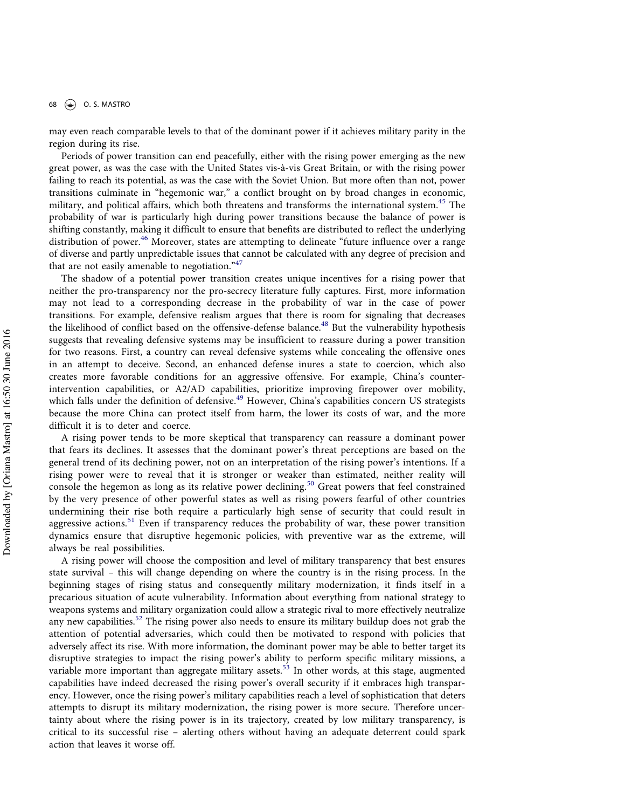#### 68  $\left(\bigcirc\right)$  O. S. MASTRO

may even reach comparable levels to that of the dominant power if it achieves military parity in the region during its rise.

Periods of power transition can end peacefully, either with the rising power emerging as the new great power, as was the case with the United States vis-à-vis Great Britain, or with the rising power failing to reach its potential, as was the case with the Soviet Union. But more often than not, power transitions culminate in "hegemonic war," a conflict brought on by broad changes in economic, military, and political affairs, which both threatens and transforms the international system.<sup>45</sup> The probability of war is particularly high during power transitions because the balance of power is shifting constantly, making it difficult to ensure that benefits are distributed to reflect the underlying distribution of power.<sup>46</sup> Moreover, states are attempting to delineate "future influence over a range of diverse and partly unpredictable issues that cannot be calculated with any degree of precision and that are not easily amenable to negotiation." 47

The shadow of a potential power transition creates unique incentives for a rising power that neither the pro-transparency nor the pro-secrecy literature fully captures. First, more information may not lead to a corresponding decrease in the probability of war in the case of power transitions. For example, defensive realism argues that there is room for signaling that decreases the likelihood of conflict based on the offensive-defense balance.<sup>48</sup> But the vulnerability hypothesis suggests that revealing defensive systems may be insufficient to reassure during a power transition for two reasons. First, a country can reveal defensive systems while concealing the offensive ones in an attempt to deceive. Second, an enhanced defense inures a state to coercion, which also creates more favorable conditions for an aggressive offensive. For example, China's counterintervention capabilities, or A2/AD capabilities, prioritize improving firepower over mobility, which falls under the definition of defensive.<sup>49</sup> However, China's capabilities concern US strategists because the more China can protect itself from harm, the lower its costs of war, and the more difficult it is to deter and coerce.

A rising power tends to be more skeptical that transparency can reassure a dominant power that fears its declines. It assesses that the dominant power's threat perceptions are based on the general trend of its declining power, not on an interpretation of the rising power's intentions. If a rising power were to reveal that it is stronger or weaker than estimated, neither reality will console the hegemon as long as its relative power declining.<sup>50</sup> Great powers that feel constrained by the very presence of other powerful states as well as rising powers fearful of other countries undermining their rise both require a particularly high sense of security that could result in aggressive actions.<sup>51</sup> Even if transparency reduces the probability of war, these power transition dynamics ensure that disruptive hegemonic policies, with preventive war as the extreme, will always be real possibilities.

A rising power will choose the composition and level of military transparency that best ensures state survival – this will change depending on where the country is in the rising process. In the beginning stages of rising status and consequently military modernization, it finds itself in a precarious situation of acute vulnerability. Information about everything from national strategy to weapons systems and military organization could allow a strategic rival to more effectively neutralize any new capabilities. $52$  The rising power also needs to ensure its military buildup does not grab the attention of potential adversaries, which could then be motivated to respond with policies that adversely affect its rise. With more information, the dominant power may be able to better target its disruptive strategies to impact the rising power's ability to perform specific military missions, a variable more important than aggregate military assets.<sup>53</sup> In other words, at this stage, augmented capabilities have indeed decreased the rising power's overall security if it embraces high transparency. However, once the rising power's military capabilities reach a level of sophistication that deters attempts to disrupt its military modernization, the rising power is more secure. Therefore uncertainty about where the rising power is in its trajectory, created by low military transparency, is critical to its successful rise – alerting others without having an adequate deterrent could spark action that leaves it worse off.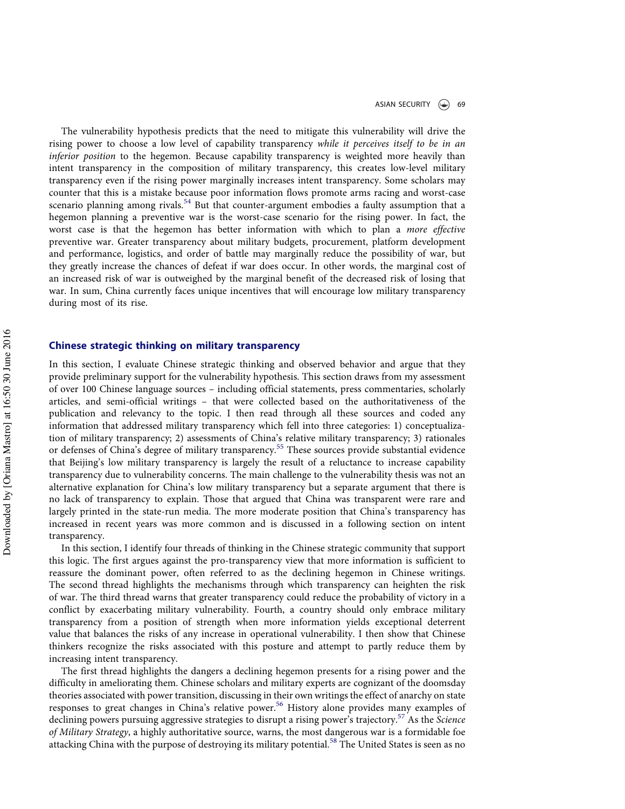The vulnerability hypothesis predicts that the need to mitigate this vulnerability will drive the rising power to choose a low level of capability transparency while it perceives itself to be in an inferior position to the hegemon. Because capability transparency is weighted more heavily than intent transparency in the composition of military transparency, this creates low-level military transparency even if the rising power marginally increases intent transparency. Some scholars may counter that this is a mistake because poor information flows promote arms racing and worst-case scenario planning among rivals.<sup>54</sup> But that counter-argument embodies a faulty assumption that a hegemon planning a preventive war is the worst-case scenario for the rising power. In fact, the worst case is that the hegemon has better information with which to plan a more effective preventive war. Greater transparency about military budgets, procurement, platform development and performance, logistics, and order of battle may marginally reduce the possibility of war, but they greatly increase the chances of defeat if war does occur. In other words, the marginal cost of an increased risk of war is outweighed by the marginal benefit of the decreased risk of losing that war. In sum, China currently faces unique incentives that will encourage low military transparency during most of its rise.

## Chinese strategic thinking on military transparency

In this section, I evaluate Chinese strategic thinking and observed behavior and argue that they provide preliminary support for the vulnerability hypothesis. This section draws from my assessment of over 100 Chinese language sources – including official statements, press commentaries, scholarly articles, and semi-official writings – that were collected based on the authoritativeness of the publication and relevancy to the topic. I then read through all these sources and coded any information that addressed military transparency which fell into three categories: 1) conceptualization of military transparency; 2) assessments of China's relative military transparency; 3) rationales or defenses of China's degree of military transparency.<sup>55</sup> These sources provide substantial evidence that Beijing's low military transparency is largely the result of a reluctance to increase capability transparency due to vulnerability concerns. The main challenge to the vulnerability thesis was not an alternative explanation for China's low military transparency but a separate argument that there is no lack of transparency to explain. Those that argued that China was transparent were rare and largely printed in the state-run media. The more moderate position that China's transparency has increased in recent years was more common and is discussed in a following section on intent transparency.

In this section, I identify four threads of thinking in the Chinese strategic community that support this logic. The first argues against the pro-transparency view that more information is sufficient to reassure the dominant power, often referred to as the declining hegemon in Chinese writings. The second thread highlights the mechanisms through which transparency can heighten the risk of war. The third thread warns that greater transparency could reduce the probability of victory in a conflict by exacerbating military vulnerability. Fourth, a country should only embrace military transparency from a position of strength when more information yields exceptional deterrent value that balances the risks of any increase in operational vulnerability. I then show that Chinese thinkers recognize the risks associated with this posture and attempt to partly reduce them by increasing intent transparency.

The first thread highlights the dangers a declining hegemon presents for a rising power and the difficulty in ameliorating them. Chinese scholars and military experts are cognizant of the doomsday theories associated with power transition, discussing in their own writings the effect of anarchy on state responses to great changes in China's relative power.<sup>56</sup> History alone provides many examples of declining powers pursuing aggressive strategies to disrupt a rising power's trajectory.<sup>57</sup> As the *Science* of Military Strategy, a highly authoritative source, warns, the most dangerous war is a formidable foe attacking China with the purpose of destroying its military potential.<sup>58</sup> The United States is seen as no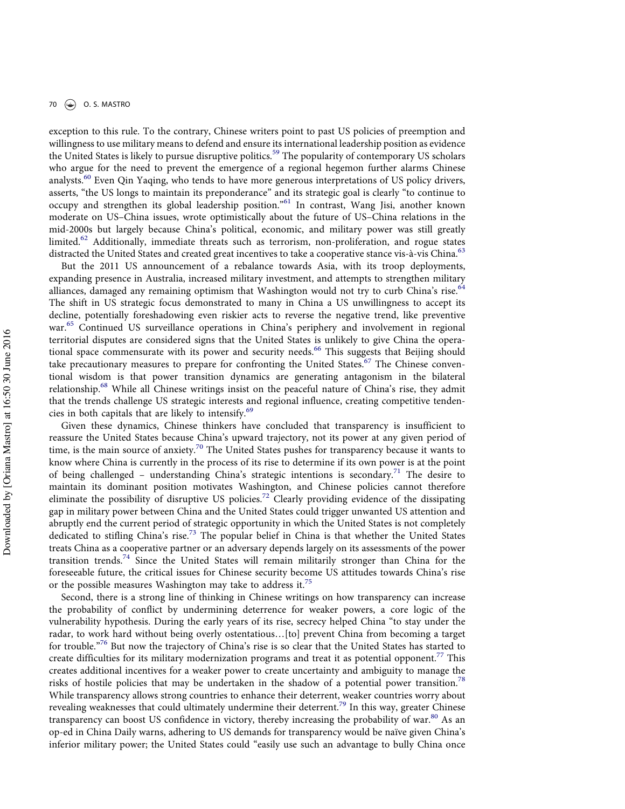## 70  $\left(\rightarrow\right)$  O. S. MASTRO

exception to this rule. To the contrary, Chinese writers point to past US policies of preemption and willingness to use military means to defend and ensure its international leadership position as evidence the United States is likely to pursue disruptive politics.<sup>59</sup> The popularity of contemporary US scholars who argue for the need to prevent the emergence of a regional hegemon further alarms Chinese analysts.<sup>60</sup> Even Qin Yaqing, who tends to have more generous interpretations of US policy drivers, asserts, "the US longs to maintain its preponderance" and its strategic goal is clearly "to continue to occupy and strengthen its global leadership position." <sup>61</sup> In contrast, Wang Jisi, another known moderate on US–China issues, wrote optimistically about the future of US–China relations in the mid-2000s but largely because China's political, economic, and military power was still greatly limited.<sup>62</sup> Additionally, immediate threats such as terrorism, non-proliferation, and rogue states distracted the United States and created great incentives to take a cooperative stance vis-à-vis China.<sup>63</sup>

But the 2011 US announcement of a rebalance towards Asia, with its troop deployments, expanding presence in Australia, increased military investment, and attempts to strengthen military alliances, damaged any remaining optimism that Washington would not try to curb China's rise.<sup>64</sup> The shift in US strategic focus demonstrated to many in China a US unwillingness to accept its decline, potentially foreshadowing even riskier acts to reverse the negative trend, like preventive war.<sup>65</sup> Continued US surveillance operations in China's periphery and involvement in regional territorial disputes are considered signs that the United States is unlikely to give China the operational space commensurate with its power and security needs.<sup>66</sup> This suggests that Beijing should take precautionary measures to prepare for confronting the United States.<sup>67</sup> The Chinese conventional wisdom is that power transition dynamics are generating antagonism in the bilateral relationship.<sup>68</sup> While all Chinese writings insist on the peaceful nature of China's rise, they admit that the trends challenge US strategic interests and regional influence, creating competitive tendencies in both capitals that are likely to intensify.<sup>69</sup>

Given these dynamics, Chinese thinkers have concluded that transparency is insufficient to reassure the United States because China's upward trajectory, not its power at any given period of time, is the main source of anxiety.<sup>70</sup> The United States pushes for transparency because it wants to know where China is currently in the process of its rise to determine if its own power is at the point of being challenged – understanding China's strategic intentions is secondary.<sup>71</sup> The desire to maintain its dominant position motivates Washington, and Chinese policies cannot therefore eliminate the possibility of disruptive US policies.<sup>72</sup> Clearly providing evidence of the dissipating gap in military power between China and the United States could trigger unwanted US attention and abruptly end the current period of strategic opportunity in which the United States is not completely dedicated to stifling China's rise.<sup>73</sup> The popular belief in China is that whether the United States treats China as a cooperative partner or an adversary depends largely on its assessments of the power transition trends.<sup>74</sup> Since the United States will remain militarily stronger than China for the foreseeable future, the critical issues for Chinese security become US attitudes towards China's rise or the possible measures Washington may take to address it.<sup>75</sup>

Second, there is a strong line of thinking in Chinese writings on how transparency can increase the probability of conflict by undermining deterrence for weaker powers, a core logic of the vulnerability hypothesis. During the early years of its rise, secrecy helped China "to stay under the radar, to work hard without being overly ostentatious…[to] prevent China from becoming a target for trouble."<sup>76</sup> But now the trajectory of China's rise is so clear that the United States has started to create difficulties for its military modernization programs and treat it as potential opponent.<sup>77</sup> This creates additional incentives for a weaker power to create uncertainty and ambiguity to manage the risks of hostile policies that may be undertaken in the shadow of a potential power transition.<sup>78</sup> While transparency allows strong countries to enhance their deterrent, weaker countries worry about revealing weaknesses that could ultimately undermine their deterrent.<sup>79</sup> In this way, greater Chinese transparency can boost US confidence in victory, thereby increasing the probability of war. $80$  As an op-ed in China Daily warns, adhering to US demands for transparency would be naïve given China's inferior military power; the United States could "easily use such an advantage to bully China once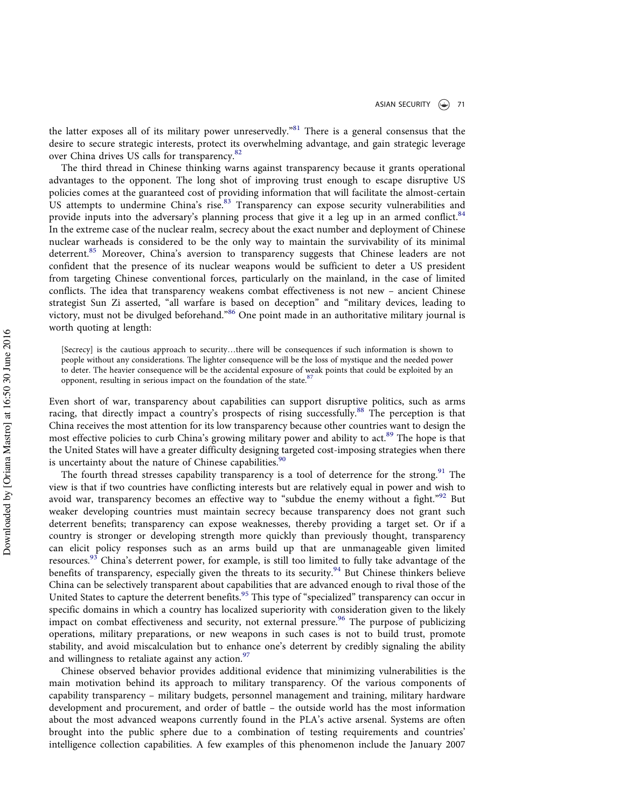the latter exposes all of its military power unreservedly."<sup>81</sup> There is a general consensus that the desire to secure strategic interests, protect its overwhelming advantage, and gain strategic leverage over China drives US calls for transparency.82

The third thread in Chinese thinking warns against transparency because it grants operational advantages to the opponent. The long shot of improving trust enough to escape disruptive US policies comes at the guaranteed cost of providing information that will facilitate the almost-certain US attempts to undermine China's rise.<sup>83</sup> Transparency can expose security vulnerabilities and provide inputs into the adversary's planning process that give it a leg up in an armed conflict.<sup>84</sup> In the extreme case of the nuclear realm, secrecy about the exact number and deployment of Chinese nuclear warheads is considered to be the only way to maintain the survivability of its minimal deterrent.<sup>85</sup> Moreover, China's aversion to transparency suggests that Chinese leaders are not confident that the presence of its nuclear weapons would be sufficient to deter a US president from targeting Chinese conventional forces, particularly on the mainland, in the case of limited conflicts. The idea that transparency weakens combat effectiveness is not new – ancient Chinese strategist Sun Zi asserted, "all warfare is based on deception" and "military devices, leading to victory, must not be divulged beforehand." <sup>86</sup> One point made in an authoritative military journal is worth quoting at length:

[Secrecy] is the cautious approach to security…there will be consequences if such information is shown to people without any considerations. The lighter consequence will be the loss of mystique and the needed power to deter. The heavier consequence will be the accidental exposure of weak points that could be exploited by an opponent, resulting in serious impact on the foundation of the state. $8<sup>8</sup>$ 

Even short of war, transparency about capabilities can support disruptive politics, such as arms racing, that directly impact a country's prospects of rising successfully.<sup>88</sup> The perception is that China receives the most attention for its low transparency because other countries want to design the most effective policies to curb China's growing military power and ability to act.<sup>89</sup> The hope is that the United States will have a greater difficulty designing targeted cost-imposing strategies when there is uncertainty about the nature of Chinese capabilities. $90$ 

The fourth thread stresses capability transparency is a tool of deterrence for the strong.<sup>91</sup> The view is that if two countries have conflicting interests but are relatively equal in power and wish to avoid war, transparency becomes an effective way to "subdue the enemy without a fight."<sup>92</sup> But weaker developing countries must maintain secrecy because transparency does not grant such deterrent benefits; transparency can expose weaknesses, thereby providing a target set. Or if a country is stronger or developing strength more quickly than previously thought, transparency can elicit policy responses such as an arms build up that are unmanageable given limited resources.<sup>93</sup> China's deterrent power, for example, is still too limited to fully take advantage of the benefits of transparency, especially given the threats to its security.<sup>94</sup> But Chinese thinkers believe China can be selectively transparent about capabilities that are advanced enough to rival those of the United States to capture the deterrent benefits.<sup>95</sup> This type of "specialized" transparency can occur in specific domains in which a country has localized superiority with consideration given to the likely impact on combat effectiveness and security, not external pressure.<sup>96</sup> The purpose of publicizing operations, military preparations, or new weapons in such cases is not to build trust, promote stability, and avoid miscalculation but to enhance one's deterrent by credibly signaling the ability and willingness to retaliate against any action.<sup>97</sup>

Chinese observed behavior provides additional evidence that minimizing vulnerabilities is the main motivation behind its approach to military transparency. Of the various components of capability transparency – military budgets, personnel management and training, military hardware development and procurement, and order of battle – the outside world has the most information about the most advanced weapons currently found in the PLA's active arsenal. Systems are often brought into the public sphere due to a combination of testing requirements and countries' intelligence collection capabilities. A few examples of this phenomenon include the January 2007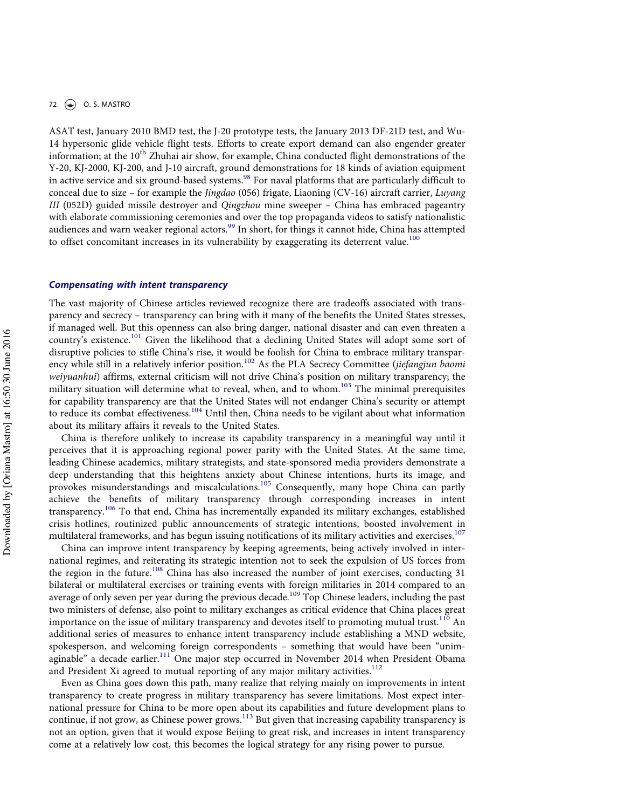## 72  $\odot$  0. S. MASTRO

ASAT test, January 2010 BMD test, the J-20 prototype tests, the January 2013 DF-21D test, and Wu-14 hypersonic glide vehicle flight tests. Efforts to create export demand can also engender greater information; at the  $10^{th}$  Zhuhai air show, for example, China conducted flight demonstrations of the Y-20, KJ-2000, KJ-200, and J-10 aircraft, ground demonstrations for 18 kinds of aviation equipment in active service and six ground-based systems.<sup>98</sup> For naval platforms that are particularly difficult to conceal due to size – for example the Jingdao (056) frigate, Liaoning (CV-16) aircraft carrier, Luyang III (052D) guided missile destroyer and Qingzhou mine sweeper – China has embraced pageantry with elaborate commissioning ceremonies and over the top propaganda videos to satisfy nationalistic audiences and warn weaker regional actors.<sup>99</sup> In short, for things it cannot hide, China has attempted to offset concomitant increases in its vulnerability by exaggerating its deterrent value.<sup>100</sup>

## Compensating with intent transparency

The vast majority of Chinese articles reviewed recognize there are tradeoffs associated with transparency and secrecy – transparency can bring with it many of the benefits the United States stresses, if managed well. But this openness can also bring danger, national disaster and can even threaten a country's existence.<sup>101</sup> Given the likelihood that a declining United States will adopt some sort of disruptive policies to stifle China's rise, it would be foolish for China to embrace military transparency while still in a relatively inferior position.<sup>102</sup> As the PLA Secrecy Committee (jiefangjun baomi weiyuanhui) affirms, external criticism will not drive China's position on military transparency; the military situation will determine what to reveal, when, and to whom. $103$  The minimal prerequisites for capability transparency are that the United States will not endanger China's security or attempt to reduce its combat effectiveness.<sup>104</sup> Until then, China needs to be vigilant about what information about its military affairs it reveals to the United States.

China is therefore unlikely to increase its capability transparency in a meaningful way until it perceives that it is approaching regional power parity with the United States. At the same time, leading Chinese academics, military strategists, and state-sponsored media providers demonstrate a deep understanding that this heightens anxiety about Chinese intentions, hurts its image, and provokes misunderstandings and miscalculations.<sup>105</sup> Consequently, many hope China can partly achieve the benefits of military transparency through corresponding increases in intent transparency.<sup>106</sup> To that end, China has incrementally expanded its military exchanges, established crisis hotlines, routinized public announcements of strategic intentions, boosted involvement in multilateral frameworks, and has begun issuing notifications of its military activities and exercises.<sup>107</sup>

China can improve intent transparency by keeping agreements, being actively involved in international regimes, and reiterating its strategic intention not to seek the expulsion of US forces from the region in the future.<sup>108</sup> China has also increased the number of joint exercises, conducting 31 bilateral or multilateral exercises or training events with foreign militaries in 2014 compared to an average of only seven per year during the previous decade.<sup>109</sup> Top Chinese leaders, including the past two ministers of defense, also point to military exchanges as critical evidence that China places great importance on the issue of military transparency and devotes itself to promoting mutual trust.<sup>110</sup> An additional series of measures to enhance intent transparency include establishing a MND website, spokesperson, and welcoming foreign correspondents – something that would have been "unimaginable" a decade earlier.<sup>111</sup> One major step occurred in November 2014 when President Obama and President Xi agreed to mutual reporting of any major military activities.<sup>112</sup>

Even as China goes down this path, many realize that relying mainly on improvements in intent transparency to create progress in military transparency has severe limitations. Most expect international pressure for China to be more open about its capabilities and future development plans to continue, if not grow, as Chinese power grows.<sup>113</sup> But given that increasing capability transparency is not an option, given that it would expose Beijing to great risk, and increases in intent transparency come at a relatively low cost, this becomes the logical strategy for any rising power to pursue.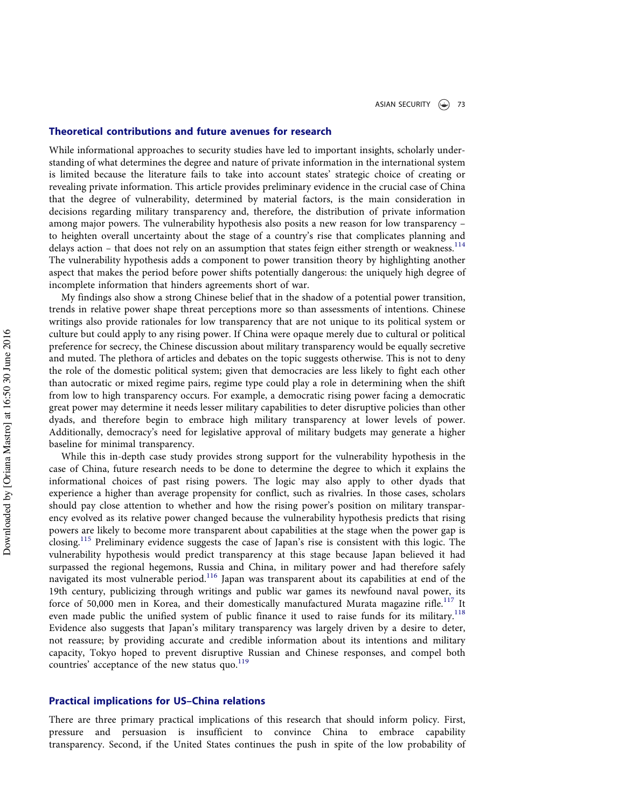## Theoretical contributions and future avenues for research

While informational approaches to security studies have led to important insights, scholarly understanding of what determines the degree and nature of private information in the international system is limited because the literature fails to take into account states' strategic choice of creating or revealing private information. This article provides preliminary evidence in the crucial case of China that the degree of vulnerability, determined by material factors, is the main consideration in decisions regarding military transparency and, therefore, the distribution of private information among major powers. The vulnerability hypothesis also posits a new reason for low transparency – to heighten overall uncertainty about the stage of a country's rise that complicates planning and delays action – that does not rely on an assumption that states feign either strength or weakness.<sup>114</sup> The vulnerability hypothesis adds a component to power transition theory by highlighting another aspect that makes the period before power shifts potentially dangerous: the uniquely high degree of incomplete information that hinders agreements short of war.

My findings also show a strong Chinese belief that in the shadow of a potential power transition, trends in relative power shape threat perceptions more so than assessments of intentions. Chinese writings also provide rationales for low transparency that are not unique to its political system or culture but could apply to any rising power. If China were opaque merely due to cultural or political preference for secrecy, the Chinese discussion about military transparency would be equally secretive and muted. The plethora of articles and debates on the topic suggests otherwise. This is not to deny the role of the domestic political system; given that democracies are less likely to fight each other than autocratic or mixed regime pairs, regime type could play a role in determining when the shift from low to high transparency occurs. For example, a democratic rising power facing a democratic great power may determine it needs lesser military capabilities to deter disruptive policies than other dyads, and therefore begin to embrace high military transparency at lower levels of power. Additionally, democracy's need for legislative approval of military budgets may generate a higher baseline for minimal transparency.

While this in-depth case study provides strong support for the vulnerability hypothesis in the case of China, future research needs to be done to determine the degree to which it explains the informational choices of past rising powers. The logic may also apply to other dyads that experience a higher than average propensity for conflict, such as rivalries. In those cases, scholars should pay close attention to whether and how the rising power's position on military transparency evolved as its relative power changed because the vulnerability hypothesis predicts that rising powers are likely to become more transparent about capabilities at the stage when the power gap is closing.115 Preliminary evidence suggests the case of Japan's rise is consistent with this logic. The vulnerability hypothesis would predict transparency at this stage because Japan believed it had surpassed the regional hegemons, Russia and China, in military power and had therefore safely navigated its most vulnerable period.<sup>116</sup> Japan was transparent about its capabilities at end of the 19th century, publicizing through writings and public war games its newfound naval power, its force of 50,000 men in Korea, and their domestically manufactured Murata magazine rifle.<sup>117</sup> It even made public the unified system of public finance it used to raise funds for its military.<sup>118</sup> Evidence also suggests that Japan's military transparency was largely driven by a desire to deter, not reassure; by providing accurate and credible information about its intentions and military capacity, Tokyo hoped to prevent disruptive Russian and Chinese responses, and compel both countries' acceptance of the new status quo.<sup>119</sup>

## Practical implications for US–China relations

There are three primary practical implications of this research that should inform policy. First, pressure and persuasion is insufficient to convince China to embrace capability transparency. Second, if the United States continues the push in spite of the low probability of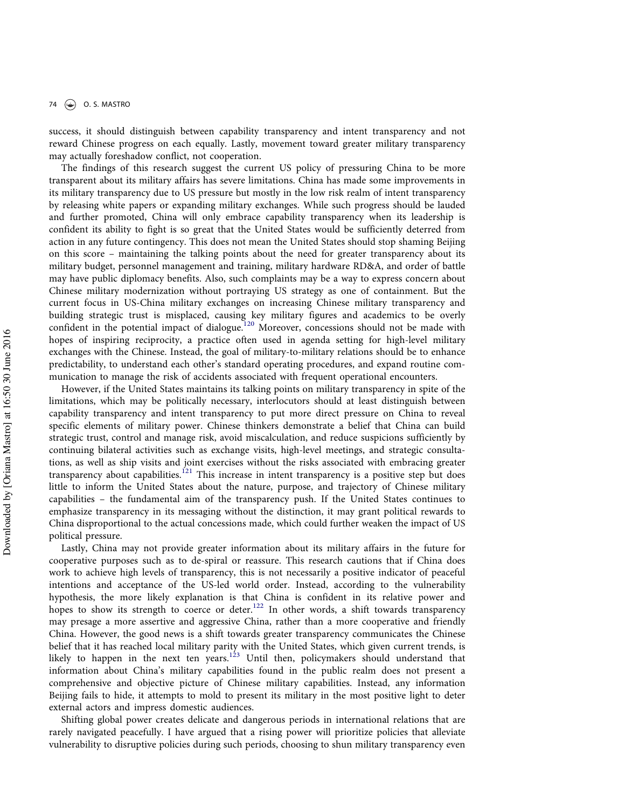## 74  $\left(\rightarrow\right)$  O. S. MASTRO

success, it should distinguish between capability transparency and intent transparency and not reward Chinese progress on each equally. Lastly, movement toward greater military transparency may actually foreshadow conflict, not cooperation.

The findings of this research suggest the current US policy of pressuring China to be more transparent about its military affairs has severe limitations. China has made some improvements in its military transparency due to US pressure but mostly in the low risk realm of intent transparency by releasing white papers or expanding military exchanges. While such progress should be lauded and further promoted, China will only embrace capability transparency when its leadership is confident its ability to fight is so great that the United States would be sufficiently deterred from action in any future contingency. This does not mean the United States should stop shaming Beijing on this score – maintaining the talking points about the need for greater transparency about its military budget, personnel management and training, military hardware RD&A, and order of battle may have public diplomacy benefits. Also, such complaints may be a way to express concern about Chinese military modernization without portraying US strategy as one of containment. But the current focus in US-China military exchanges on increasing Chinese military transparency and building strategic trust is misplaced, causing key military figures and academics to be overly confident in the potential impact of dialogue.<sup>120</sup> Moreover, concessions should not be made with hopes of inspiring reciprocity, a practice often used in agenda setting for high-level military exchanges with the Chinese. Instead, the goal of military-to-military relations should be to enhance predictability, to understand each other's standard operating procedures, and expand routine communication to manage the risk of accidents associated with frequent operational encounters.

However, if the United States maintains its talking points on military transparency in spite of the limitations, which may be politically necessary, interlocutors should at least distinguish between capability transparency and intent transparency to put more direct pressure on China to reveal specific elements of military power. Chinese thinkers demonstrate a belief that China can build strategic trust, control and manage risk, avoid miscalculation, and reduce suspicions sufficiently by continuing bilateral activities such as exchange visits, high-level meetings, and strategic consultations, as well as ship visits and joint exercises without the risks associated with embracing greater transparency about capabilities.<sup>121</sup> This increase in intent transparency is a positive step but does little to inform the United States about the nature, purpose, and trajectory of Chinese military capabilities – the fundamental aim of the transparency push. If the United States continues to emphasize transparency in its messaging without the distinction, it may grant political rewards to China disproportional to the actual concessions made, which could further weaken the impact of US political pressure.

Lastly, China may not provide greater information about its military affairs in the future for cooperative purposes such as to de-spiral or reassure. This research cautions that if China does work to achieve high levels of transparency, this is not necessarily a positive indicator of peaceful intentions and acceptance of the US-led world order. Instead, according to the vulnerability hypothesis, the more likely explanation is that China is confident in its relative power and hopes to show its strength to coerce or deter.<sup>122</sup> In other words, a shift towards transparency may presage a more assertive and aggressive China, rather than a more cooperative and friendly China. However, the good news is a shift towards greater transparency communicates the Chinese belief that it has reached local military parity with the United States, which given current trends, is likely to happen in the next ten years.<sup>123</sup> Until then, policymakers should understand that information about China's military capabilities found in the public realm does not present a comprehensive and objective picture of Chinese military capabilities. Instead, any information Beijing fails to hide, it attempts to mold to present its military in the most positive light to deter external actors and impress domestic audiences.

Shifting global power creates delicate and dangerous periods in international relations that are rarely navigated peacefully. I have argued that a rising power will prioritize policies that alleviate vulnerability to disruptive policies during such periods, choosing to shun military transparency even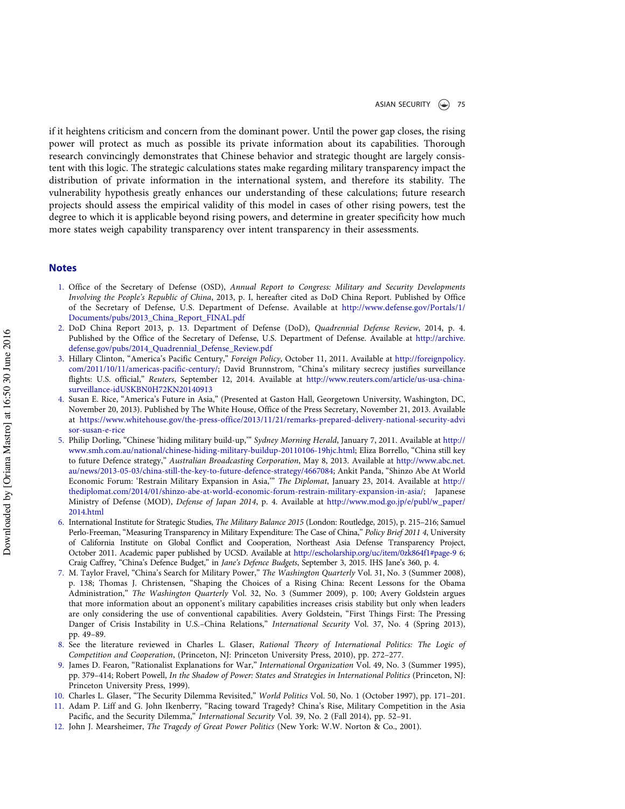if it heightens criticism and concern from the dominant power. Until the power gap closes, the rising power will protect as much as possible its private information about its capabilities. Thorough research convincingly demonstrates that Chinese behavior and strategic thought are largely consistent with this logic. The strategic calculations states make regarding military transparency impact the distribution of private information in the international system, and therefore its stability. The vulnerability hypothesis greatly enhances our understanding of these calculations; future research projects should assess the empirical validity of this model in cases of other rising powers, test the degree to which it is applicable beyond rising powers, and determine in greater specificity how much more states weigh capability transparency over intent transparency in their assessments.

## **Notes**

- 1. Office of the Secretary of Defense (OSD), Annual Report to Congress: Military and Security Developments Involving the People's Republic of China, 2013, p. I, hereafter cited as DoD China Report. Published by Office of the Secretary of Defense, U.S. Department of Defense. Available at http://www.defense.gov/Portals/1/ Documents/pubs/2013\_China\_Report\_FINAL.pdf
- 2. DoD China Report 2013, p. 13. Department of Defense (DoD), Quadrennial Defense Review, 2014, p. 4. Published by the Office of the Secretary of Defense, U.S. Department of Defense. Available at http://archive. defense.gov/pubs/2014\_Quadrennial\_Defense\_Review.pdf
- 3. Hillary Clinton, "America's Pacific Century," Foreign Policy, October 11, 2011. Available at http://foreignpolicy. com/2011/10/11/americas-pacific-century/; David Brunnstrom, "China's military secrecy justifies surveillance flights: U.S. official," Reuters, September 12, 2014. Available at http://www.reuters.com/article/us-usa-chinasurveillance-idUSKBN0H72KN20140913
- 4. Susan E. Rice, "America's Future in Asia," (Presented at Gaston Hall, Georgetown University, Washington, DC, November 20, 2013). Published by The White House, Office of the Press Secretary, November 21, 2013. Available at https://www.whitehouse.gov/the-press-office/2013/11/21/remarks-prepared-delivery-national-security-advi sor-susan-e-rice
- 5. Philip Dorling, "Chinese 'hiding military build-up,'" Sydney Morning Herald, January 7, 2011. Available at http:// www.smh.com.au/national/chinese-hiding-military-buildup-20110106-19hjc.html; Eliza Borrello, "China still key to future Defence strategy," Australian Broadcasting Corporation, May 8, 2013. Available at http://www.abc.net. au/news/2013-05-03/china-still-the-key-to-future-defence-strategy/4667084; Ankit Panda, "Shinzo Abe At World Economic Forum: 'Restrain Military Expansion in Asia,'" The Diplomat, January 23, 2014. Available at http:// thediplomat.com/2014/01/shinzo-abe-at-world-economic-forum-restrain-military-expansion-in-asia/; Japanese Ministry of Defense (MOD), Defense of Japan 2014, p. 4. Available at http://www.mod.go.jp/e/publ/w\_paper/ 2014.html
- 6. International Institute for Strategic Studies, The Military Balance 2015 (London: Routledge, 2015), p. 215–216; Samuel Perlo-Freeman, "Measuring Transparency in Military Expenditure: The Case of China," Policy Brief 2011 4, University of California Institute on Global Conflict and Cooperation, Northeast Asia Defense Transparency Project, October 2011. Academic paper published by UCSD. Available at http://escholarship.org/uc/item/0zk864f1#page-9 6; Craig Caffrey, "China's Defence Budget," in Jane's Defence Budgets, September 3, 2015. IHS Jane's 360, p. 4.
- 7. M. Taylor Fravel, "China's Search for Military Power," The Washington Quarterly Vol. 31, No. 3 (Summer 2008), p. 138; Thomas J. Christensen, "Shaping the Choices of a Rising China: Recent Lessons for the Obama Administration," The Washington Quarterly Vol. 32, No. 3 (Summer 2009), p. 100; Avery Goldstein argues that more information about an opponent's military capabilities increases crisis stability but only when leaders are only considering the use of conventional capabilities. Avery Goldstein, "First Things First: The Pressing Danger of Crisis Instability in U.S.–China Relations," International Security Vol. 37, No. 4 (Spring 2013), pp. 49–89.
- 8. See the literature reviewed in Charles L. Glaser, Rational Theory of International Politics: The Logic of Competition and Cooperation, (Princeton, NJ: Princeton University Press, 2010), pp. 272–277.
- 9. James D. Fearon, "Rationalist Explanations for War," International Organization Vol. 49, No. 3 (Summer 1995), pp. 379–414; Robert Powell, In the Shadow of Power: States and Strategies in International Politics (Princeton, NJ: Princeton University Press, 1999).
- 10. Charles L. Glaser, "The Security Dilemma Revisited," World Politics Vol. 50, No. 1 (October 1997), pp. 171–201.
- 11. Adam P. Liff and G. John Ikenberry, "Racing toward Tragedy? China's Rise, Military Competition in the Asia Pacific, and the Security Dilemma," International Security Vol. 39, No. 2 (Fall 2014), pp. 52–91.
- 12. John J. Mearsheimer, The Tragedy of Great Power Politics (New York: W.W. Norton & Co., 2001).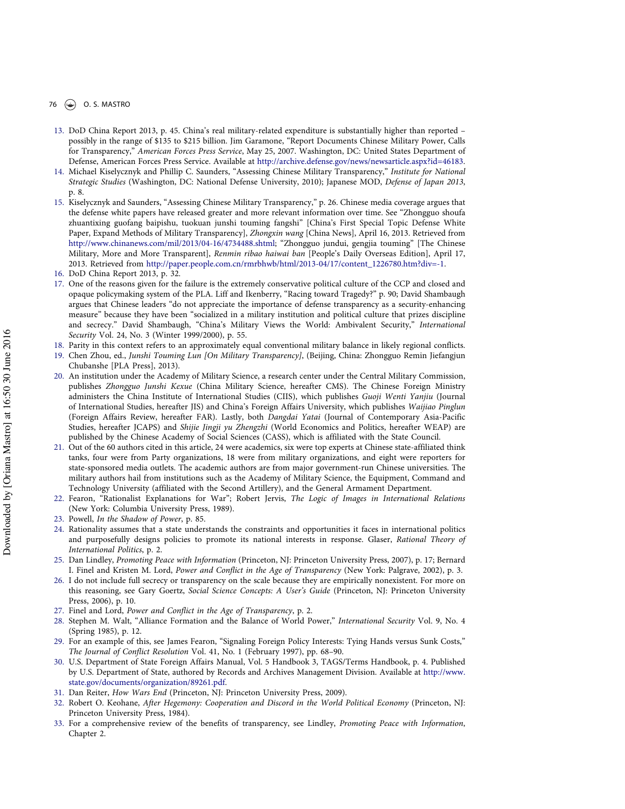## 76  $\left(\bigstar\right)$  O. S. MASTRO

- 13. DoD China Report 2013, p. 45. China's real military-related expenditure is substantially higher than reported possibly in the range of \$135 to \$215 billion. Jim Garamone, "Report Documents Chinese Military Power, Calls for Transparency," American Forces Press Service, May 25, 2007. Washington, DC: United States Department of Defense, American Forces Press Service. Available at http://archive.defense.gov/news/newsarticle.aspx?id=46183.
- 14. Michael Kiselycznyk and Phillip C. Saunders, "Assessing Chinese Military Transparency," Institute for National Strategic Studies (Washington, DC: National Defense University, 2010); Japanese MOD, Defense of Japan 2013, p. 8.
- 15. Kiselycznyk and Saunders, "Assessing Chinese Military Transparency," p. 26. Chinese media coverage argues that the defense white papers have released greater and more relevant information over time. See "Zhongguo shoufa zhuantixing guofang baipishu, tuokuan junshi touming fangshi" [China's First Special Topic Defense White Paper, Expand Methods of Military Transparency], Zhongxin wang [China News], April 16, 2013. Retrieved from http://www.chinanews.com/mil/2013/04-16/4734488.shtml; "Zhongguo jundui, gengjia touming" [The Chinese Military, More and More Transparent], Renmin ribao haiwai ban [People's Daily Overseas Edition], April 17, 2013. Retrieved from http://paper.people.com.cn/rmrbhwb/html/2013-04/17/content\_1226780.htm?div=-1.
- 16. DoD China Report 2013, p. 32.
- 17. One of the reasons given for the failure is the extremely conservative political culture of the CCP and closed and opaque policymaking system of the PLA. Liff and Ikenberry, "Racing toward Tragedy?" p. 90; David Shambaugh argues that Chinese leaders "do not appreciate the importance of defense transparency as a security-enhancing measure" because they have been "socialized in a military institution and political culture that prizes discipline and secrecy." David Shambaugh, "China's Military Views the World: Ambivalent Security," International Security Vol. 24, No. 3 (Winter 1999/2000), p. 55.
- 18. Parity in this context refers to an approximately equal conventional military balance in likely regional conflicts.
- 19. Chen Zhou, ed., Junshi Touming Lun [On Military Transparency], (Beijing, China: Zhongguo Remin Jiefangjun Chubanshe [PLA Press], 2013).
- 20. An institution under the Academy of Military Science, a research center under the Central Military Commission, publishes Zhongguo Junshi Kexue (China Military Science, hereafter CMS). The Chinese Foreign Ministry administers the China Institute of International Studies (CIIS), which publishes Guoji Wenti Yanjiu (Journal of International Studies, hereafter JIS) and China's Foreign Affairs University, which publishes Waijiao Pinglun (Foreign Affairs Review, hereafter FAR). Lastly, both Dangdai Yatai (Journal of Contemporary Asia-Pacific Studies, hereafter JCAPS) and Shijie Jingji yu Zhengzhi (World Economics and Politics, hereafter WEAP) are published by the Chinese Academy of Social Sciences (CASS), which is affiliated with the State Council.
- 21. Out of the 60 authors cited in this article, 24 were academics, six were top experts at Chinese state-affiliated think tanks, four were from Party organizations, 18 were from military organizations, and eight were reporters for state-sponsored media outlets. The academic authors are from major government-run Chinese universities. The military authors hail from institutions such as the Academy of Military Science, the Equipment, Command and Technology University (affiliated with the Second Artillery), and the General Armament Department.
- 22. Fearon, "Rationalist Explanations for War"; Robert Jervis, The Logic of Images in International Relations (New York: Columbia University Press, 1989).
- 23. Powell, In the Shadow of Power, p. 85.
- 24. Rationality assumes that a state understands the constraints and opportunities it faces in international politics and purposefully designs policies to promote its national interests in response. Glaser, Rational Theory of International Politics, p. 2.
- 25. Dan Lindley, Promoting Peace with Information (Princeton, NJ: Princeton University Press, 2007), p. 17; Bernard I. Finel and Kristen M. Lord, Power and Conflict in the Age of Transparency (New York: Palgrave, 2002), p. 3.
- 26. I do not include full secrecy or transparency on the scale because they are empirically nonexistent. For more on this reasoning, see Gary Goertz, Social Science Concepts: A User's Guide (Princeton, NJ: Princeton University Press, 2006), p. 10.
- 27. Finel and Lord, Power and Conflict in the Age of Transparency, p. 2.
- 28. Stephen M. Walt, "Alliance Formation and the Balance of World Power," International Security Vol. 9, No. 4 (Spring 1985), p. 12.
- 29. For an example of this, see James Fearon, "Signaling Foreign Policy Interests: Tying Hands versus Sunk Costs," The Journal of Conflict Resolution Vol. 41, No. 1 (February 1997), pp. 68–90.
- 30. U.S. Department of State Foreign Affairs Manual, Vol. 5 Handbook 3, TAGS/Terms Handbook, p. 4. Published by U.S. Department of State, authored by Records and Archives Management Division. Available at http://www. state.gov/documents/organization/89261.pdf.
- 31. Dan Reiter, How Wars End (Princeton, NJ: Princeton University Press, 2009).
- 32. Robert O. Keohane, After Hegemony: Cooperation and Discord in the World Political Economy (Princeton, NJ: Princeton University Press, 1984).
- 33. For a comprehensive review of the benefits of transparency, see Lindley, Promoting Peace with Information, Chapter 2.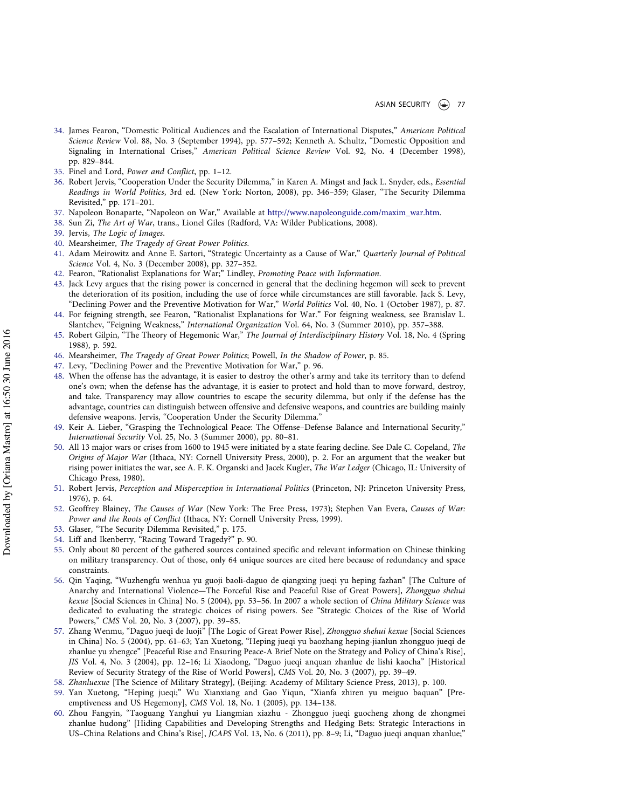- 34. James Fearon, "Domestic Political Audiences and the Escalation of International Disputes," American Political Science Review Vol. 88, No. 3 (September 1994), pp. 577–592; Kenneth A. Schultz, "Domestic Opposition and Signaling in International Crises," American Political Science Review Vol. 92, No. 4 (December 1998), pp. 829–844.
- 35. Finel and Lord, Power and Conflict, pp. 1–12.
- 36. Robert Jervis, "Cooperation Under the Security Dilemma," in Karen A. Mingst and Jack L. Snyder, eds., Essential Readings in World Politics, 3rd ed. (New York: Norton, 2008), pp. 346–359; Glaser, "The Security Dilemma Revisited," pp. 171–201.
- 37. Napoleon Bonaparte, "Napoleon on War," Available at http://www.napoleonguide.com/maxim\_war.htm.
- 38. Sun Zi, The Art of War, trans., Lionel Giles (Radford, VA: Wilder Publications, 2008).
- 39. Jervis, The Logic of Images.
- 40. Mearsheimer, The Tragedy of Great Power Politics.
- 41. Adam Meirowitz and Anne E. Sartori, "Strategic Uncertainty as a Cause of War," Quarterly Journal of Political Science Vol. 4, No. 3 (December 2008), pp. 327–352.
- 42. Fearon, "Rationalist Explanations for War;" Lindley, Promoting Peace with Information.
- 43. Jack Levy argues that the rising power is concerned in general that the declining hegemon will seek to prevent the deterioration of its position, including the use of force while circumstances are still favorable. Jack S. Levy, "Declining Power and the Preventive Motivation for War," World Politics Vol. 40, No. 1 (October 1987), p. 87.
- 44. For feigning strength, see Fearon, "Rationalist Explanations for War." For feigning weakness, see Branislav L. Slantchev, "Feigning Weakness," International Organization Vol. 64, No. 3 (Summer 2010), pp. 357-388.
- 45. Robert Gilpin, "The Theory of Hegemonic War," The Journal of Interdisciplinary History Vol. 18, No. 4 (Spring 1988), p. 592.
- 46. Mearsheimer, The Tragedy of Great Power Politics; Powell, In the Shadow of Power, p. 85.
- 47. Levy, "Declining Power and the Preventive Motivation for War," p. 96.
- 48. When the offense has the advantage, it is easier to destroy the other's army and take its territory than to defend one's own; when the defense has the advantage, it is easier to protect and hold than to move forward, destroy, and take. Transparency may allow countries to escape the security dilemma, but only if the defense has the advantage, countries can distinguish between offensive and defensive weapons, and countries are building mainly defensive weapons. Jervis, "Cooperation Under the Security Dilemma."
- 49. Keir A. Lieber, "Grasping the Technological Peace: The Offense–Defense Balance and International Security," International Security Vol. 25, No. 3 (Summer 2000), pp. 80–81.
- 50. All 13 major wars or crises from 1600 to 1945 were initiated by a state fearing decline. See Dale C. Copeland, The Origins of Major War (Ithaca, NY: Cornell University Press, 2000), p. 2. For an argument that the weaker but rising power initiates the war, see A. F. K. Organski and Jacek Kugler, The War Ledger (Chicago, IL: University of Chicago Press, 1980).
- 51. Robert Jervis, Perception and Misperception in International Politics (Princeton, NJ: Princeton University Press, 1976), p. 64.
- 52. Geoffrey Blainey, The Causes of War (New York: The Free Press, 1973); Stephen Van Evera, Causes of War: Power and the Roots of Conflict (Ithaca, NY: Cornell University Press, 1999).
- 53. Glaser, "The Security Dilemma Revisited," p. 175.
- 54. Liff and Ikenberry, "Racing Toward Tragedy?" p. 90.
- 55. Only about 80 percent of the gathered sources contained specific and relevant information on Chinese thinking on military transparency. Out of those, only 64 unique sources are cited here because of redundancy and space constraints.
- 56. Qin Yaqing, "Wuzhengfu wenhua yu guoji baoli-daguo de qiangxing jueqi yu heping fazhan" [The Culture of Anarchy and International Violence—The Forceful Rise and Peaceful Rise of Great Powers], Zhongguo shehui kexue [Social Sciences in China] No. 5 (2004), pp. 53–56. In 2007 a whole section of China Military Science was dedicated to evaluating the strategic choices of rising powers. See "Strategic Choices of the Rise of World Powers," CMS Vol. 20, No. 3 (2007), pp. 39–85.
- 57. Zhang Wenmu, "Daguo jueqi de luoji" [The Logic of Great Power Rise], Zhongguo shehui kexue [Social Sciences in China] No. 5 (2004), pp. 61–63; Yan Xuetong, "Heping jueqi yu baozhang heping-jianlun zhongguo jueqi de zhanlue yu zhengce" [Peaceful Rise and Ensuring Peace-A Brief Note on the Strategy and Policy of China's Rise], JIS Vol. 4, No. 3 (2004), pp. 12–16; Li Xiaodong, "Daguo jueqi anquan zhanlue de lishi kaocha" [Historical Review of Security Strategy of the Rise of World Powers], CMS Vol. 20, No. 3 (2007), pp. 39–49.
- 58. Zhanluexue [The Science of Military Strategy], (Beijing: Academy of Military Science Press, 2013), p. 100.
- 59. Yan Xuetong, "Heping jueqi;" Wu Xianxiang and Gao Yiqun, "Xianfa zhiren yu meiguo baquan" [Preemptiveness and US Hegemony], CMS Vol. 18, No. 1 (2005), pp. 134–138.
- 60. Zhou Fangyin, "Taoguang Yanghui yu Liangmian xiazhu Zhongguo jueqi guocheng zhong de zhongmei zhanlue hudong" [Hiding Capabilities and Developing Strengths and Hedging Bets: Strategic Interactions in US–China Relations and China's Rise], JCAPS Vol. 13, No. 6 (2011), pp. 8–9; Li, "Daguo jueqi anquan zhanlue;"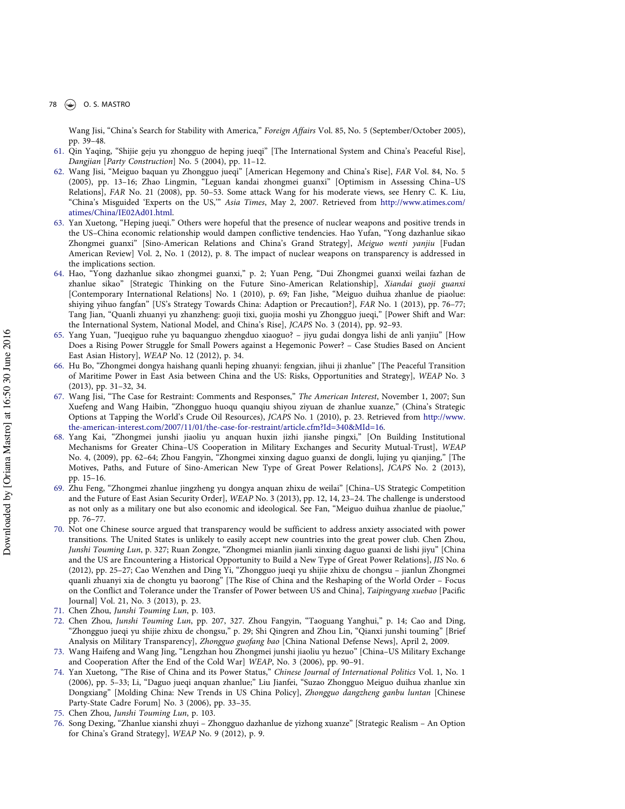78  $\left(\bigstar\right)$  O. S. MASTRO

Wang Jisi, "China's Search for Stability with America," Foreign Affairs Vol. 85, No. 5 (September/October 2005), pp. 39–48.

- 61. Qin Yaqing, "Shijie geju yu zhongguo de heping jueqi" [The International System and China's Peaceful Rise], Dangjian [Party Construction] No. 5 (2004), pp. 11–12.
- 62. Wang Jisi, "Meiguo baquan yu Zhongguo jueqi" [American Hegemony and China's Rise], FAR Vol. 84, No. 5 (2005), pp. 13–16; Zhao Lingmin, "Leguan kandai zhongmei guanxi" [Optimism in Assessing China–US Relations], FAR No. 21 (2008), pp. 50–53. Some attack Wang for his moderate views, see Henry C. K. Liu, "China's Misguided 'Experts on the US,'" Asia Times, May 2, 2007. Retrieved from http://www.atimes.com/ atimes/China/IE02Ad01.html.
- 63. Yan Xuetong, "Heping jueqi." Others were hopeful that the presence of nuclear weapons and positive trends in the US–China economic relationship would dampen conflictive tendencies. Hao Yufan, "Yong dazhanlue sikao Zhongmei guanxi" [Sino-American Relations and China's Grand Strategy], Meiguo wenti yanjiu [Fudan American Review] Vol. 2, No. 1 (2012), p. 8. The impact of nuclear weapons on transparency is addressed in the implications section.
- 64. Hao, "Yong dazhanlue sikao zhongmei guanxi," p. 2; Yuan Peng, "Dui Zhongmei guanxi weilai fazhan de zhanlue sikao" [Strategic Thinking on the Future Sino-American Relationship], Xiandai guoji guanxi [Contemporary International Relations] No. 1 (2010), p. 69; Fan Jishe, "Meiguo duihua zhanlue de piaolue: shiying yihuo fangfan" [US's Strategy Towards China: Adaption or Precaution?], FAR No. 1 (2013), pp. 76–77; Tang Jian, "Quanli zhuanyi yu zhanzheng: guoji tixi, guojia moshi yu Zhongguo jueqi," [Power Shift and War: the International System, National Model, and China's Rise], JCAPS No. 3 (2014), pp. 92–93.
- 65. Yang Yuan, "Jueqiguo ruhe yu baquanguo zhengduo xiaoguo? jiyu gudai dongya lishi de anli yanjiu" [How Does a Rising Power Struggle for Small Powers against a Hegemonic Power? – Case Studies Based on Ancient East Asian History], WEAP No. 12 (2012), p. 34.
- 66. Hu Bo, "Zhongmei dongya haishang quanli heping zhuanyi: fengxian, jihui ji zhanlue" [The Peaceful Transition of Maritime Power in East Asia between China and the US: Risks, Opportunities and Strategy], WEAP No. 3 (2013), pp. 31–32, 34.
- 67. Wang Jisi, "The Case for Restraint: Comments and Responses," The American Interest, November 1, 2007; Sun Xuefeng and Wang Haibin, "Zhongguo huoqu quanqiu shiyou ziyuan de zhanlue xuanze," (China's Strategic Options at Tapping the World's Crude Oil Resources), JCAPS No. 1 (2010), p. 23. Retrieved from http://www. the-american-interest.com/2007/11/01/the-case-for-restraint/article.cfm?Id=340&MId=16.
- 68. Yang Kai, "Zhongmei junshi jiaoliu yu anquan huxin jizhi jianshe pingxi," [On Building Institutional Mechanisms for Greater China–US Cooperation in Military Exchanges and Security Mutual-Trust], WEAP No. 4, (2009), pp. 62–64; Zhou Fangyin, "Zhongmei xinxing daguo guanxi de dongli, lujing yu qianjing," [The Motives, Paths, and Future of Sino-American New Type of Great Power Relations], JCAPS No. 2 (2013), pp. 15–16.
- 69. Zhu Feng, "Zhongmei zhanlue jingzheng yu dongya anquan zhixu de weilai" [China–US Strategic Competition and the Future of East Asian Security Order], WEAP No. 3 (2013), pp. 12, 14, 23–24. The challenge is understood as not only as a military one but also economic and ideological. See Fan, "Meiguo duihua zhanlue de piaolue," pp. 76–77.
- 70. Not one Chinese source argued that transparency would be sufficient to address anxiety associated with power transitions. The United States is unlikely to easily accept new countries into the great power club. Chen Zhou, Junshi Touming Lun, p. 327; Ruan Zongze, "Zhongmei mianlin jianli xinxing daguo guanxi de lishi jiyu" [China and the US are Encountering a Historical Opportunity to Build a New Type of Great Power Relations], JIS No. 6 (2012), pp. 25–27; Cao Wenzhen and Ding Yi, "Zhongguo jueqi yu shijie zhixu de chongsu – jianlun Zhongmei quanli zhuanyi xia de chongtu yu baorong" [The Rise of China and the Reshaping of the World Order – Focus on the Conflict and Tolerance under the Transfer of Power between US and China], Taipingyang xuebao [Pacific Journal] Vol. 21, No. 3 (2013), p. 23.
- 71. Chen Zhou, Junshi Touming Lun, p. 103.
- 72. Chen Zhou, Junshi Touming Lun, pp. 207, 327. Zhou Fangyin, "Taoguang Yanghui," p. 14; Cao and Ding, "Zhongguo jueqi yu shijie zhixu de chongsu," p. 29; Shi Qingren and Zhou Lin, "Qianxi junshi touming" [Brief Analysis on Military Transparency], Zhongguo guofang bao [China National Defense News], April 2, 2009.
- 73. Wang Haifeng and Wang Jing, "Lengzhan hou Zhongmei junshi jiaoliu yu hezuo" [China–US Military Exchange and Cooperation After the End of the Cold War] WEAP, No. 3 (2006), pp. 90–91.
- 74. Yan Xuetong, "The Rise of China and its Power Status," Chinese Journal of International Politics Vol. 1, No. 1 (2006), pp. 5–33; Li, "Daguo jueqi anquan zhanlue;" Liu Jianfei, "Suzao Zhongguo Meiguo duihua zhanlue xin Dongxiang" [Molding China: New Trends in US China Policy], Zhongguo dangzheng ganbu luntan [Chinese Party-State Cadre Forum] No. 3 (2006), pp. 33–35.
- 75. Chen Zhou, Junshi Touming Lun, p. 103.
- 76. Song Dexing, "Zhanlue xianshi zhuyi Zhongguo dazhanlue de yizhong xuanze" [Strategic Realism An Option for China's Grand Strategy], WEAP No. 9 (2012), p. 9.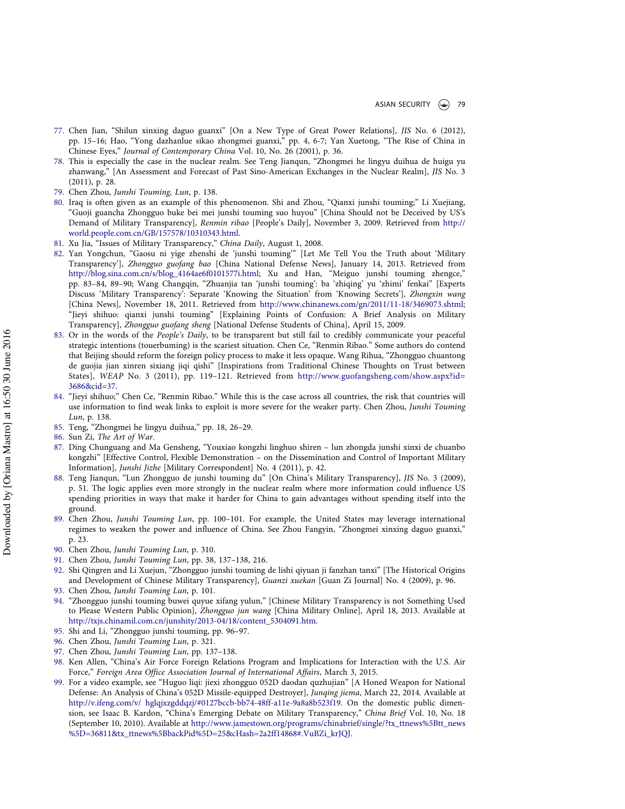- 77. Chen Jian, "Shilun xinxing daguo guanxi" [On a New Type of Great Power Relations], JIS No. 6 (2012), pp. 15–16; Hao, "Yong dazhanlue sikao zhongmei guanxi," pp. 4, 6-7; Yan Xuetong, "The Rise of China in Chinese Eyes," Journal of Contemporary China Vol. 10, No. 26 (2001), p. 36.
- 78. This is especially the case in the nuclear realm. See Teng Jianqun, "Zhongmei he lingyu duihua de huigu yu zhanwang," [An Assessment and Forecast of Past Sino-American Exchanges in the Nuclear Realm], JIS No. 3 (2011), p. 28.
- 79. Chen Zhou, Junshi Touming, Lun, p. 138.
- 80. Iraq is often given as an example of this phenomenon. Shi and Zhou, "Qianxi junshi touming;" Li Xuejiang, "Guoji guancha Zhongguo buke bei mei junshi touming suo huyou" [China Should not be Deceived by US's Demand of Military Transparency], Renmin ribao [People's Daily], November 3, 2009. Retrieved from http:// world.people.com.cn/GB/157578/10310343.html.
- 81. Xu Jia, "Issues of Military Transparency," China Daily, August 1, 2008.
- 82. Yan Yongchun, "Gaosu ni yige zhenshi de 'junshi touming'" [Let Me Tell You the Truth about 'Military Transparency'], Zhongguo guofang bao [China National Defense News], January 14, 2013. Retrieved from http://blog.sina.com.cn/s/blog\_4164ae6f0101577i.html; Xu and Han, "Meiguo junshi touming zhengce," pp. 83–84, 89–90; Wang Changqin, "Zhuanjia tan 'junshi touming': ba 'zhiqing' yu 'zhimi' fenkai" [Experts Discuss 'Military Transparency': Separate 'Knowing the Situation' from 'Knowing Secrets'], Zhongxin wang [China News], November 18, 2011. Retrieved from http://www.chinanews.com/gn/2011/11-18/3469073.shtml; "Jieyi shihuo: qianxi junshi touming" [Explaining Points of Confusion: A Brief Analysis on Military Transparency], Zhongguo guofang sheng [National Defense Students of China], April 15, 2009.
- 83. Or in the words of the People's Daily, to be transparent but still fail to credibly communicate your peaceful strategic intentions (touerbuming) is the scariest situation. Chen Ce, "Renmin Ribao." Some authors do contend that Beijing should reform the foreign policy process to make it less opaque. Wang Rihua, "Zhongguo chuantong de guojia jian xinren sixiang jiqi qishi" [Inspirations from Traditional Chinese Thoughts on Trust between States], WEAP No. 3 (2011), pp. 119–121. Retrieved from http://www.guofangsheng.com/show.aspx?id= 3686&cid=37.
- 84. "Jieyi shihuo;" Chen Ce, "Renmin Ribao." While this is the case across all countries, the risk that countries will use information to find weak links to exploit is more severe for the weaker party. Chen Zhou, Junshi Touming Lun, p. 138.
- 85. Teng, "Zhongmei he lingyu duihua," pp. 18, 26–29.
- 86. Sun Zi, The Art of War.
- 87. Ding Chunguang and Ma Gensheng, "Youxiao kongzhi linghuo shiren lun zhongda junshi xinxi de chuanbo kongzhi" [Effective Control, Flexible Demonstration – on the Dissemination and Control of Important Military Information], Junshi Jizhe [Military Correspondent] No. 4 (2011), p. 42.
- 88. Teng Jianqun, "Lun Zhongguo de junshi touming du" [On China's Military Transparency], JIS No. 3 (2009), p. 51. The logic applies even more strongly in the nuclear realm where more information could influence US spending priorities in ways that make it harder for China to gain advantages without spending itself into the ground.
- 89. Chen Zhou, Junshi Touming Lun, pp. 100–101. For example, the United States may leverage international regimes to weaken the power and influence of China. See Zhou Fangyin, "Zhongmei xinxing daguo guanxi," p. 23.
- 90. Chen Zhou, Junshi Touming Lun, p. 310.
- 91. Chen Zhou, Junshi Touming Lun, pp. 38, 137–138, 216.
- 92. Shi Qingren and Li Xuejun, "Zhongguo junshi touming de lishi qiyuan ji fanzhan tanxi" [The Historical Origins and Development of Chinese Military Transparency], Guanzi xuekan [Guan Zi Journal] No. 4 (2009), p. 96. 93. Chen Zhou, Junshi Touming Lun, p. 101.
- 94. "Zhongguo junshi touming buwei quyue xifang yulun," [Chinese Military Transparency is not Something Used to Please Western Public Opinion], Zhongguo jun wang [China Military Online], April 18, 2013. Available at http://txjs.chinamil.com.cn/junshity/2013-04/18/content\_5304091.htm.
- 95. Shi and Li, "Zhongguo junshi touming, pp. 96–97.
- 96. Chen Zhou, Junshi Touming Lun, p. 321.
- 97. Chen Zhou, Junshi Touming Lun, pp. 137–138.
- 98. Ken Allen, "China's Air Force Foreign Relations Program and Implications for Interaction with the U.S. Air Force," Foreign Area Office Association Journal of International Affairs, March 3, 2015.
- 99. For a video example, see "Huguo liqi: jiexi zhongguo 052D daodan quzhujian" [A Honed Weapon for National Defense: An Analysis of China's 052D Missile-equipped Destroyer], Junqing jiema, March 22, 2014. Available at http://v.ifeng.com/v/ hglqjxzgddqzj/#0127bccb-bb74-48ff-a11e-9a8a8b523f19. On the domestic public dimension, see Isaac B. Kardon, "China's Emerging Debate on Military Transparency," China Brief Vol. 10, No. 18 (September 10, 2010). Available at http://www.jamestown.org/programs/chinabrief/single/?tx\_ttnews%5Btt\_news %5D=36811&tx\_ttnews%5BbackPid%5D=25&cHash=2a2ff14868#.VuBZi\_krJQJ.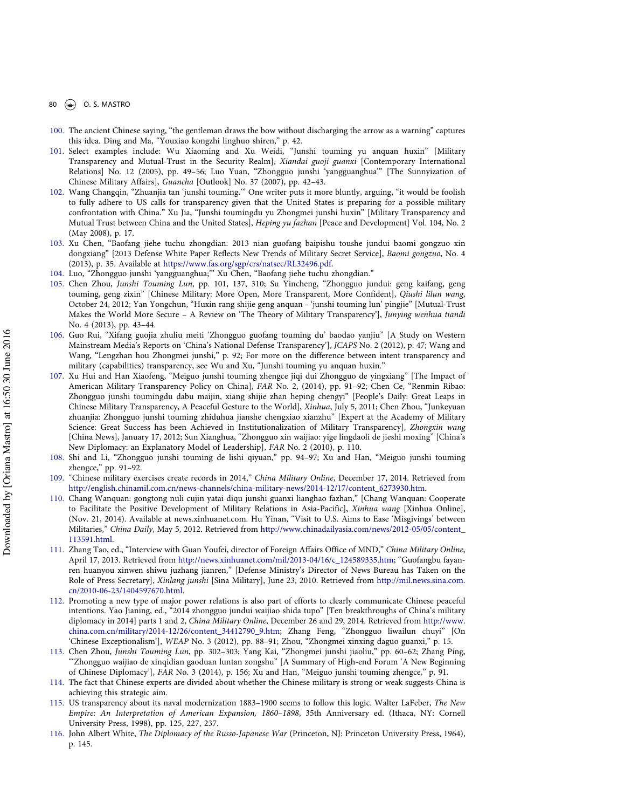- 80  $\left(\bigstar\right)$  O. S. MASTRO
- 100. The ancient Chinese saying, "the gentleman draws the bow without discharging the arrow as a warning" captures this idea. Ding and Ma, "Youxiao kongzhi linghuo shiren," p. 42.
- 101. Select examples include: Wu Xiaoming and Xu Weidi, "Junshi touming yu anquan huxin" [Military Transparency and Mutual-Trust in the Security Realm], Xiandai guoji guanxi [Contemporary International Relations] No. 12 (2005), pp. 49–56; Luo Yuan, "Zhongguo junshi 'yangguanghua'" [The Sunnyization of Chinese Military Affairs], Guancha [Outlook] No. 37 (2007), pp. 42–43.
- 102. Wang Changqin, "Zhuanjia tan 'junshi touming.'" One writer puts it more bluntly, arguing, "it would be foolish to fully adhere to US calls for transparency given that the United States is preparing for a possible military confrontation with China." Xu Jia, "Junshi toumingdu yu Zhongmei junshi huxin" [Military Transparency and Mutual Trust between China and the United States], Heping yu fazhan [Peace and Development] Vol. 104, No. 2 (May 2008), p. 17.
- 103. Xu Chen, "Baofang jiehe tuchu zhongdian: 2013 nian guofang baipishu toushe jundui baomi gongzuo xin dongxiang" [2013 Defense White Paper Reflects New Trends of Military Secret Service], Baomi gongzuo, No. 4 (2013), p. 35. Available at https://www.fas.org/sgp/crs/natsec/RL32496.pdf.
- 104. Luo, "Zhongguo junshi 'yangguanghua;'" Xu Chen, "Baofang jiehe tuchu zhongdian."
- 105. Chen Zhou, Junshi Touming Lun, pp. 101, 137, 310; Su Yincheng, "Zhongguo jundui: geng kaifang, geng touming, geng zixin" [Chinese Military: More Open, More Transparent, More Confident], Qiushi lilun wang, October 24, 2012; Yan Yongchun, "Huxin rang shijie geng anquan - 'junshi touming lun' pingjie" [Mutual-Trust Makes the World More Secure – A Review on 'The Theory of Military Transparency'], Junying wenhua tiandi No. 4 (2013), pp. 43–44.
- 106. Guo Rui, "Xifang guojia zhuliu meiti 'Zhongguo guofang touming du' baodao yanjiu" [A Study on Western Mainstream Media's Reports on 'China's National Defense Transparency'], JCAPS No. 2 (2012), p. 47; Wang and Wang, "Lengzhan hou Zhongmei junshi," p. 92; For more on the difference between intent transparency and military (capabilities) transparency, see Wu and Xu, "Junshi touming yu anquan huxin."
- 107. Xu Hui and Han Xiaofeng, "Meiguo junshi touming zhengce jiqi dui Zhongguo de yingxiang" [The Impact of American Military Transparency Policy on China], FAR No. 2, (2014), pp. 91–92; Chen Ce, "Renmin Ribao: Zhongguo junshi toumingdu dabu maijin, xiang shijie zhan heping chengyi" [People's Daily: Great Leaps in Chinese Military Transparency, A Peaceful Gesture to the World], Xinhua, July 5, 2011; Chen Zhou, "Junkeyuan zhuanjia: Zhongguo junshi touming zhiduhua jianshe chengxiao xianzhu" [Expert at the Academy of Military Science: Great Success has been Achieved in Institutionalization of Military Transparency], Zhongxin wang [China News], January 17, 2012; Sun Xianghua, "Zhongguo xin waijiao: yige lingdaoli de jieshi moxing" [China's New Diplomacy: an Explanatory Model of Leadership], FAR No. 2 (2010), p. 110.
- 108. Shi and Li, "Zhongguo junshi touming de lishi qiyuan," pp. 94–97; Xu and Han, "Meiguo junshi touming zhengce," pp. 91–92.
- 109. "Chinese military exercises create records in 2014," China Military Online, December 17, 2014. Retrieved from http://english.chinamil.com.cn/news-channels/china-military-news/2014-12/17/content\_6273930.htm.
- 110. Chang Wanquan: gongtong nuli cujin yatai diqu junshi guanxi lianghao fazhan," [Chang Wanquan: Cooperate to Facilitate the Positive Development of Military Relations in Asia-Pacific], Xinhua wang [Xinhua Online], (Nov. 21, 2014). Available at news.xinhuanet.com. Hu Yinan, "Visit to U.S. Aims to Ease 'Misgivings' between Militaries," China Daily, May 5, 2012. Retrieved from http://www.chinadailyasia.com/news/2012-05/05/content\_ 113591.html.
- 111. Zhang Tao, ed., "Interview with Guan Youfei, director of Foreign Affairs Office of MND," China Military Online, April 17, 2013. Retrieved from http://news.xinhuanet.com/mil/2013-04/16/c\_124589335.htm; "Guofangbu fayanren huanyou xinwen shiwu juzhang jianren," [Defense Ministry's Director of News Bureau has Taken on the Role of Press Secretary], Xinlang junshi [Sina Military], June 23, 2010. Retrieved from http://mil.news.sina.com. cn/2010-06-23/1404597670.html.
- 112. Promoting a new type of major power relations is also part of efforts to clearly communicate Chinese peaceful intentions. Yao Jianing, ed., "2014 zhongguo jundui waijiao shida tupo" [Ten breakthroughs of China's military diplomacy in 2014] parts 1 and 2, China Military Online, December 26 and 29, 2014. Retrieved from http://www. china.com.cn/military/2014-12/26/content\_34412790\_9.htm; Zhang Feng, "Zhongguo liwailun chuyi" [On 'Chinese Exceptionalism'], WEAP No. 3 (2012), pp. 88–91; Zhou, "Zhongmei xinxing daguo guanxi," p. 15.
- 113. Chen Zhou, Junshi Touming Lun, pp. 302–303; Yang Kai, "Zhongmei junshi jiaoliu," pp. 60–62; Zhang Ping, "'Zhongguo waijiao de xinqidian gaoduan luntan zongshu" [A Summary of High-end Forum 'A New Beginning of Chinese Diplomacy'], FAR No. 3 (2014), p. 156; Xu and Han, "Meiguo junshi touming zhengce," p. 91.
- 114. The fact that Chinese experts are divided about whether the Chinese military is strong or weak suggests China is achieving this strategic aim.
- 115. US transparency about its naval modernization 1883–1900 seems to follow this logic. Walter LaFeber, The New Empire: An Interpretation of American Expansion, 1860–1898, 35th Anniversary ed. (Ithaca, NY: Cornell University Press, 1998), pp. 125, 227, 237.
- 116. John Albert White, The Diplomacy of the Russo-Japanese War (Princeton, NJ: Princeton University Press, 1964), p. 145.